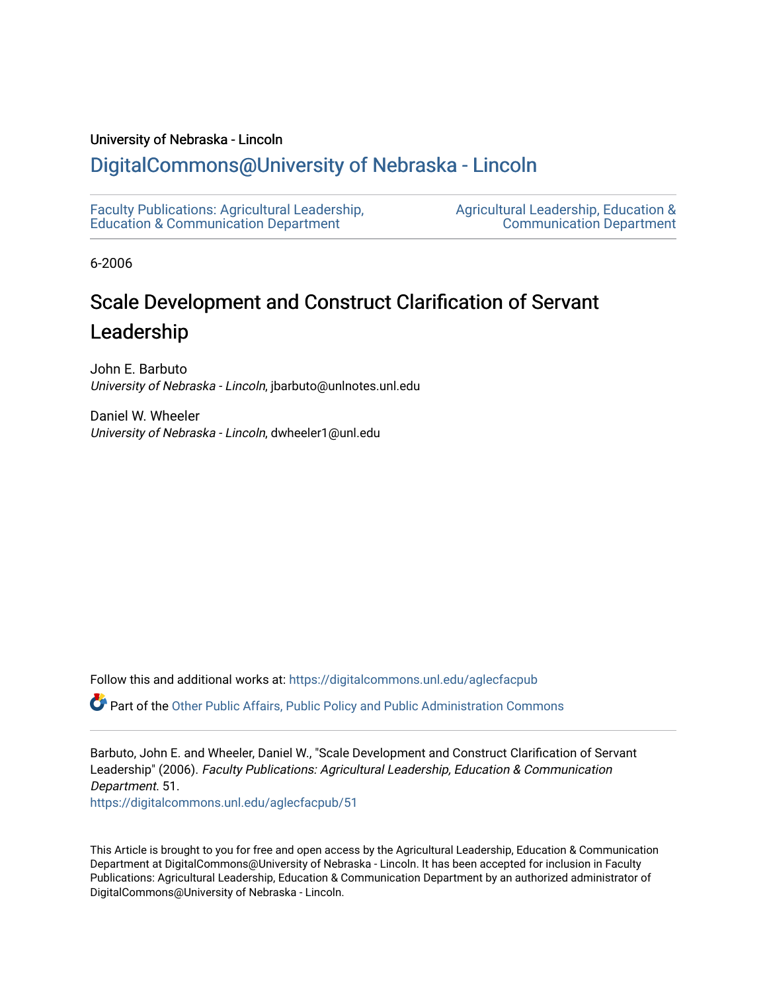# University of Nebraska - Lincoln

# [DigitalCommons@University of Nebraska - Lincoln](https://digitalcommons.unl.edu/)

[Faculty Publications: Agricultural Leadership,](https://digitalcommons.unl.edu/aglecfacpub)  [Education & Communication Department](https://digitalcommons.unl.edu/aglecfacpub) 

[Agricultural Leadership, Education &](https://digitalcommons.unl.edu/ag_lec)  [Communication Department](https://digitalcommons.unl.edu/ag_lec) 

6-2006

# Scale Development and Construct Clarification of Servant Leadership

John E. Barbuto University of Nebraska - Lincoln, jbarbuto@unlnotes.unl.edu

Daniel W. Wheeler University of Nebraska - Lincoln, dwheeler1@unl.edu

Follow this and additional works at: [https://digitalcommons.unl.edu/aglecfacpub](https://digitalcommons.unl.edu/aglecfacpub?utm_source=digitalcommons.unl.edu%2Faglecfacpub%2F51&utm_medium=PDF&utm_campaign=PDFCoverPages) 

Part of the [Other Public Affairs, Public Policy and Public Administration Commons](http://network.bepress.com/hgg/discipline/403?utm_source=digitalcommons.unl.edu%2Faglecfacpub%2F51&utm_medium=PDF&utm_campaign=PDFCoverPages) 

Barbuto, John E. and Wheeler, Daniel W., "Scale Development and Construct Clarification of Servant Leadership" (2006). Faculty Publications: Agricultural Leadership, Education & Communication Department. 51. [https://digitalcommons.unl.edu/aglecfacpub/51](https://digitalcommons.unl.edu/aglecfacpub/51?utm_source=digitalcommons.unl.edu%2Faglecfacpub%2F51&utm_medium=PDF&utm_campaign=PDFCoverPages) 

This Article is brought to you for free and open access by the Agricultural Leadership, Education & Communication Department at DigitalCommons@University of Nebraska - Lincoln. It has been accepted for inclusion in Faculty Publications: Agricultural Leadership, Education & Communication Department by an authorized administrator of DigitalCommons@University of Nebraska - Lincoln.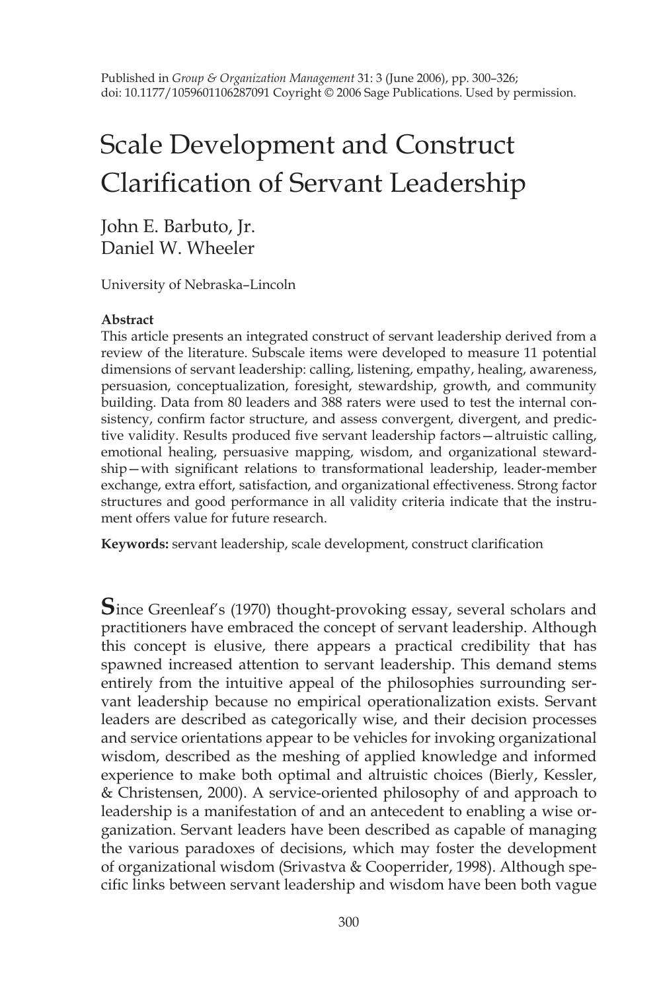Published in *Group & Organization Management* 31: 3 (June 2006), pp. 300–326; doi: 10.1177/1059601106287091 Coyright © 2006 Sage Publications. Used by permission.

# Scale Development and Construct Clarification of Servant Leadership

John E. Barbuto, Jr. Daniel W. Wheeler

University of Nebraska–Lincoln

#### **Abstract**

This article presents an integrated construct of servant leadership derived from a review of the literature. Subscale items were developed to measure 11 potential dimensions of servant leadership: calling, listening, empathy, healing, awareness, persuasion, conceptualization, foresight, stewardship, growth, and community building. Data from 80 leaders and 388 raters were used to test the internal consistency, confirm factor structure, and assess convergent, divergent, and predictive validity. Results produced five servant leadership factors—altruistic calling, emotional healing, persuasive mapping, wisdom, and organizational stewardship—with significant relations to transformational leadership, leader-member exchange, extra effort, satisfaction, and organizational effectiveness. Strong factor structures and good performance in all validity criteria indicate that the instrument offers value for future research.

**Keywords:** servant leadership, scale development, construct clarification

**S**ince Greenleaf's (1970) thought-provoking essay, several scholars and practitioners have embraced the concept of servant leadership. Although this concept is elusive, there appears a practical credibility that has spawned increased attention to servant leadership. This demand stems entirely from the intuitive appeal of the philosophies surrounding servant leadership because no empirical operationalization exists. Servant leaders are described as categorically wise, and their decision processes and service orientations appear to be vehicles for invoking organizational wisdom, described as the meshing of applied knowledge and informed experience to make both optimal and altruistic choices (Bierly, Kessler, & Christensen, 2000). A service-oriented philosophy of and approach to leadership is a manifestation of and an antecedent to enabling a wise organization. Servant leaders have been described as capable of managing the various paradoxes of decisions, which may foster the development of organizational wisdom (Srivastva & Cooperrider, 1998). Although specific links between servant leadership and wisdom have been both vague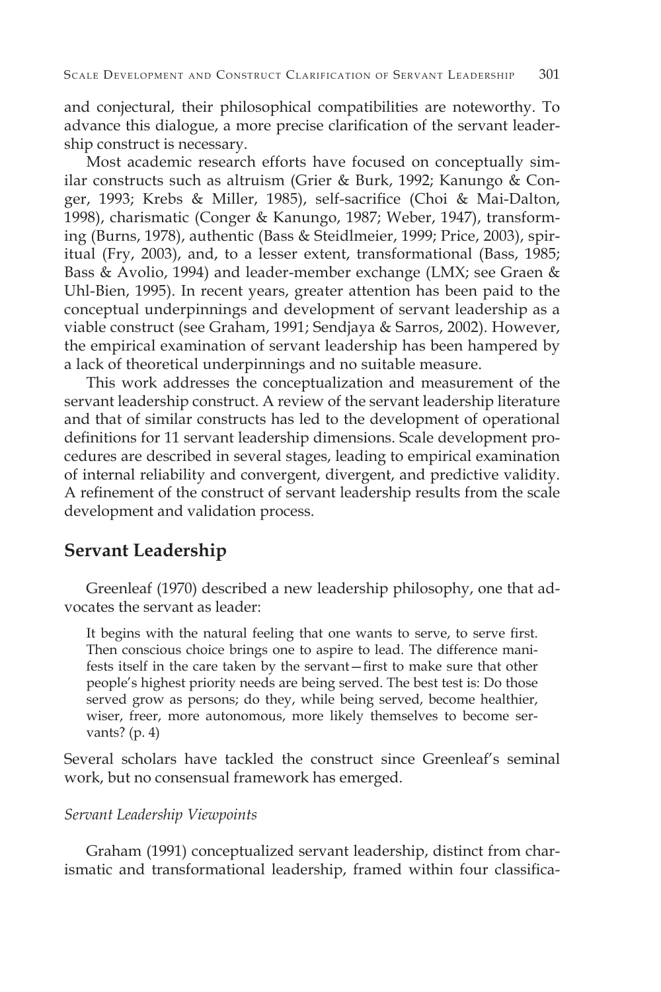and conjectural, their philosophical compatibilities are noteworthy. To advance this dialogue, a more precise clarification of the servant leadership construct is necessary.

Most academic research efforts have focused on conceptually similar constructs such as altruism (Grier & Burk, 1992; Kanungo & Conger, 1993; Krebs & Miller, 1985), self-sacrifice (Choi & Mai-Dalton, 1998), charismatic (Conger & Kanungo, 1987; Weber, 1947), transforming (Burns, 1978), authentic (Bass & Steidlmeier, 1999; Price, 2003), spiritual (Fry, 2003), and, to a lesser extent, transformational (Bass, 1985; Bass & Avolio, 1994) and leader-member exchange (LMX; see Graen & Uhl-Bien, 1995). In recent years, greater attention has been paid to the conceptual underpinnings and development of servant leadership as a viable construct (see Graham, 1991; Sendjaya & Sarros, 2002). However, the empirical examination of servant leadership has been hampered by a lack of theoretical underpinnings and no suitable measure.

This work addresses the conceptualization and measurement of the servant leadership construct. A review of the servant leadership literature and that of similar constructs has led to the development of operational definitions for 11 servant leadership dimensions. Scale development procedures are described in several stages, leading to empirical examination of internal reliability and convergent, divergent, and predictive validity. A refinement of the construct of servant leadership results from the scale development and validation process.

# **Servant Leadership**

Greenleaf (1970) described a new leadership philosophy, one that advocates the servant as leader:

It begins with the natural feeling that one wants to serve, to serve first. Then conscious choice brings one to aspire to lead. The difference manifests itself in the care taken by the servant—first to make sure that other people's highest priority needs are being served. The best test is: Do those served grow as persons; do they, while being served, become healthier, wiser, freer, more autonomous, more likely themselves to become servants? (p. 4)

Several scholars have tackled the construct since Greenleaf's seminal work, but no consensual framework has emerged.

#### *Servant Leadership Viewpoints*

Graham (1991) conceptualized servant leadership, distinct from charismatic and transformational leadership, framed within four classifica-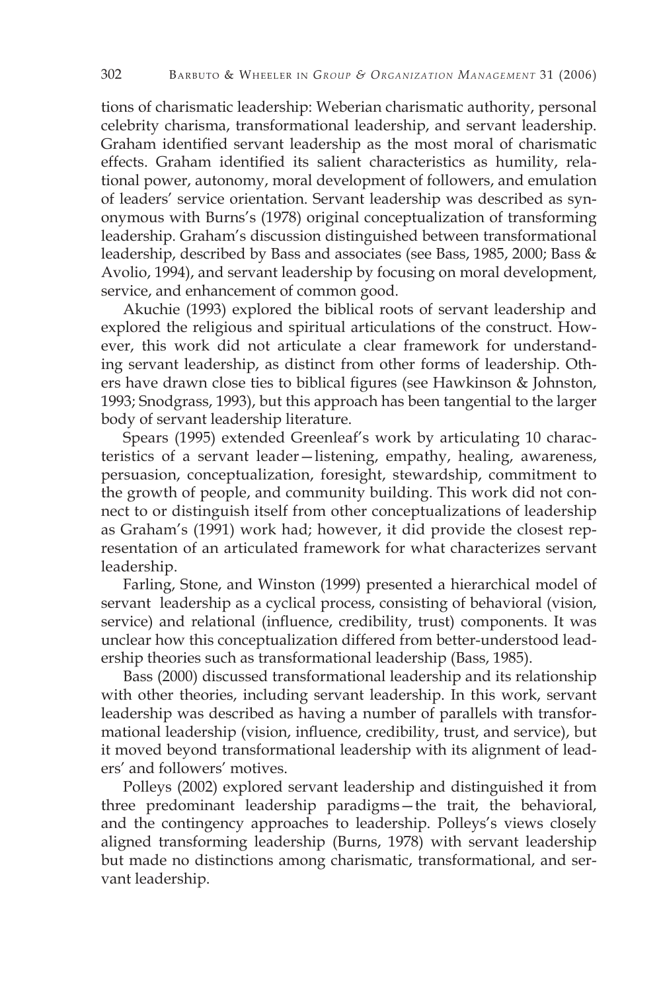tions of charismatic leadership: Weberian charismatic authority, personal celebrity charisma, transformational leadership, and servant leadership. Graham identified servant leadership as the most moral of charismatic effects. Graham identified its salient characteristics as humility, relational power, autonomy, moral development of followers, and emulation of leaders' service orientation. Servant leadership was described as synonymous with Burns's (1978) original conceptualization of transforming leadership. Graham's discussion distinguished between transformational leadership, described by Bass and associates (see Bass, 1985, 2000; Bass & Avolio, 1994), and servant leadership by focusing on moral development, service, and enhancement of common good.

Akuchie (1993) explored the biblical roots of servant leadership and explored the religious and spiritual articulations of the construct. However, this work did not articulate a clear framework for understanding servant leadership, as distinct from other forms of leadership. Others have drawn close ties to biblical figures (see Hawkinson & Johnston, 1993; Snodgrass, 1993), but this approach has been tangential to the larger body of servant leadership literature.

Spears (1995) extended Greenleaf's work by articulating 10 characteristics of a servant leader—listening, empathy, healing, awareness, persuasion, conceptualization, foresight, stewardship, commitment to the growth of people, and community building. This work did not connect to or distinguish itself from other conceptualizations of leadership as Graham's (1991) work had; however, it did provide the closest representation of an articulated framework for what characterizes servant leadership.

Farling, Stone, and Winston (1999) presented a hierarchical model of servant leadership as a cyclical process, consisting of behavioral (vision, service) and relational (influence, credibility, trust) components. It was unclear how this conceptualization differed from better-understood leadership theories such as transformational leadership (Bass, 1985).

Bass (2000) discussed transformational leadership and its relationship with other theories, including servant leadership. In this work, servant leadership was described as having a number of parallels with transformational leadership (vision, influence, credibility, trust, and service), but it moved beyond transformational leadership with its alignment of leaders' and followers' motives.

Polleys (2002) explored servant leadership and distinguished it from three predominant leadership paradigms—the trait, the behavioral, and the contingency approaches to leadership. Polleys's views closely aligned transforming leadership (Burns, 1978) with servant leadership but made no distinctions among charismatic, transformational, and servant leadership.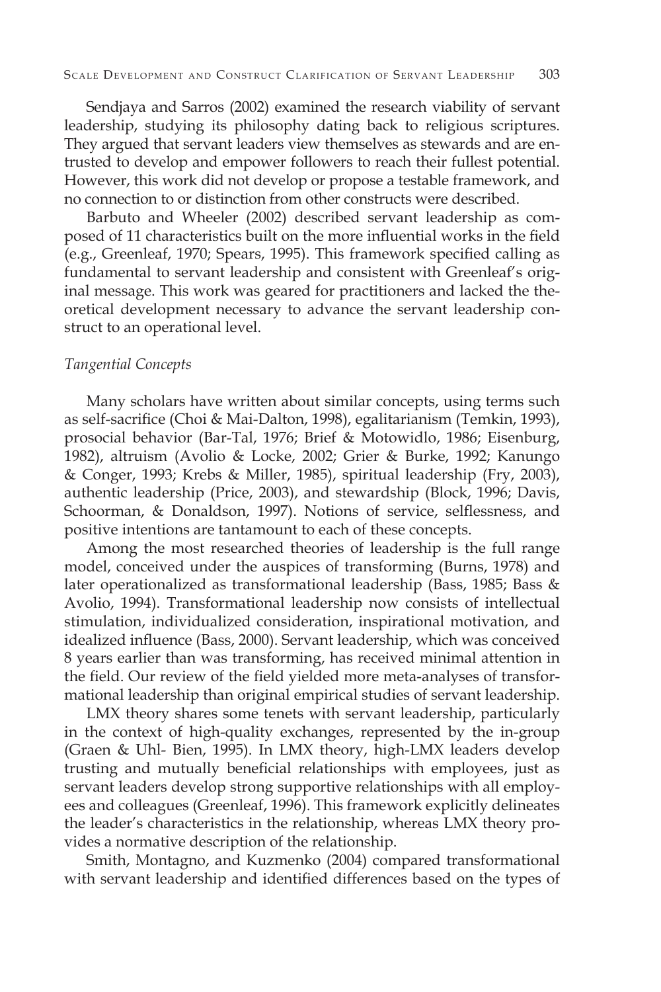Sendjaya and Sarros (2002) examined the research viability of servant leadership, studying its philosophy dating back to religious scriptures. They argued that servant leaders view themselves as stewards and are entrusted to develop and empower followers to reach their fullest potential. However, this work did not develop or propose a testable framework, and no connection to or distinction from other constructs were described.

Barbuto and Wheeler (2002) described servant leadership as composed of 11 characteristics built on the more influential works in the field (e.g., Greenleaf, 1970; Spears, 1995). This framework specified calling as fundamental to servant leadership and consistent with Greenleaf's original message. This work was geared for practitioners and lacked the theoretical development necessary to advance the servant leadership construct to an operational level.

#### *Tangential Concepts*

Many scholars have written about similar concepts, using terms such as self-sacrifice (Choi & Mai-Dalton, 1998), egalitarianism (Temkin, 1993), prosocial behavior (Bar-Tal, 1976; Brief & Motowidlo, 1986; Eisenburg, 1982), altruism (Avolio & Locke, 2002; Grier & Burke, 1992; Kanungo & Conger, 1993; Krebs & Miller, 1985), spiritual leadership (Fry, 2003), authentic leadership (Price, 2003), and stewardship (Block, 1996; Davis, Schoorman, & Donaldson, 1997). Notions of service, selflessness, and positive intentions are tantamount to each of these concepts.

Among the most researched theories of leadership is the full range model, conceived under the auspices of transforming (Burns, 1978) and later operationalized as transformational leadership (Bass, 1985; Bass & Avolio, 1994). Transformational leadership now consists of intellectual stimulation, individualized consideration, inspirational motivation, and idealized influence (Bass, 2000). Servant leadership, which was conceived 8 years earlier than was transforming, has received minimal attention in the field. Our review of the field yielded more meta-analyses of transformational leadership than original empirical studies of servant leadership.

LMX theory shares some tenets with servant leadership, particularly in the context of high-quality exchanges, represented by the in-group (Graen & Uhl- Bien, 1995). In LMX theory, high-LMX leaders develop trusting and mutually beneficial relationships with employees, just as servant leaders develop strong supportive relationships with all employees and colleagues (Greenleaf, 1996). This framework explicitly delineates the leader's characteristics in the relationship, whereas LMX theory provides a normative description of the relationship.

Smith, Montagno, and Kuzmenko (2004) compared transformational with servant leadership and identified differences based on the types of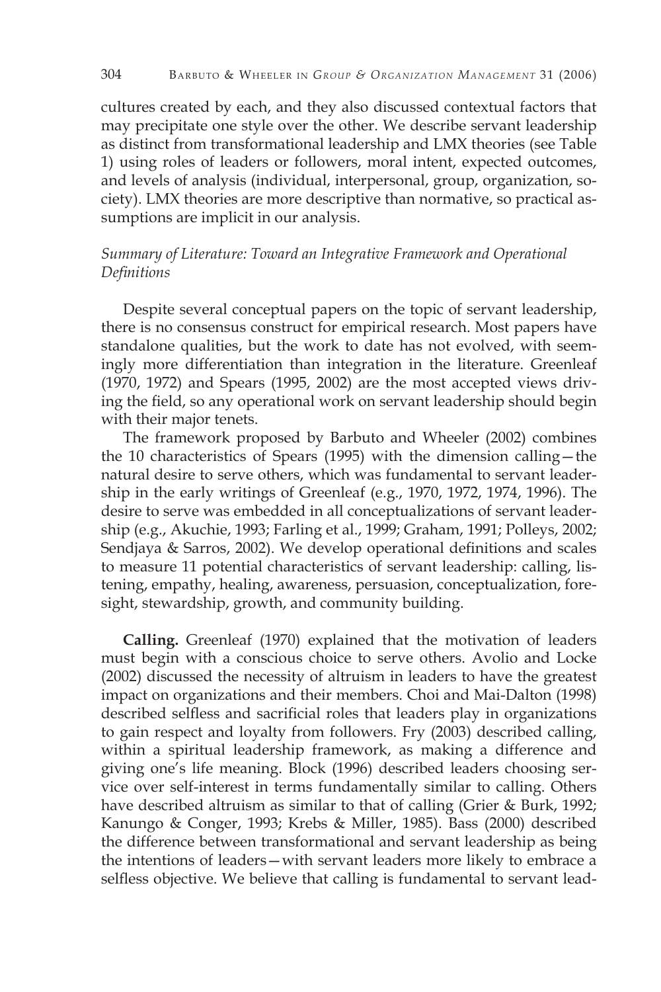cultures created by each, and they also discussed contextual factors that may precipitate one style over the other. We describe servant leadership as distinct from transformational leadership and LMX theories (see Table 1) using roles of leaders or followers, moral intent, expected outcomes, and levels of analysis (individual, interpersonal, group, organization, society). LMX theories are more descriptive than normative, so practical assumptions are implicit in our analysis.

### *Summary of Literature: Toward an Integrative Framework and Operational Definitions*

Despite several conceptual papers on the topic of servant leadership, there is no consensus construct for empirical research. Most papers have standalone qualities, but the work to date has not evolved, with seemingly more differentiation than integration in the literature. Greenleaf (1970, 1972) and Spears (1995, 2002) are the most accepted views driving the field, so any operational work on servant leadership should begin with their major tenets.

The framework proposed by Barbuto and Wheeler (2002) combines the 10 characteristics of Spears (1995) with the dimension calling—the natural desire to serve others, which was fundamental to servant leadership in the early writings of Greenleaf (e.g., 1970, 1972, 1974, 1996). The desire to serve was embedded in all conceptualizations of servant leadership (e.g., Akuchie, 1993; Farling et al., 1999; Graham, 1991; Polleys, 2002; Sendjaya & Sarros, 2002). We develop operational definitions and scales to measure 11 potential characteristics of servant leadership: calling, listening, empathy, healing, awareness, persuasion, conceptualization, foresight, stewardship, growth, and community building.

**Calling.** Greenleaf (1970) explained that the motivation of leaders must begin with a conscious choice to serve others. Avolio and Locke (2002) discussed the necessity of altruism in leaders to have the greatest impact on organizations and their members. Choi and Mai-Dalton (1998) described selfless and sacrificial roles that leaders play in organizations to gain respect and loyalty from followers. Fry (2003) described calling, within a spiritual leadership framework, as making a difference and giving one's life meaning. Block (1996) described leaders choosing service over self-interest in terms fundamentally similar to calling. Others have described altruism as similar to that of calling (Grier & Burk, 1992; Kanungo & Conger, 1993; Krebs & Miller, 1985). Bass (2000) described the difference between transformational and servant leadership as being the intentions of leaders—with servant leaders more likely to embrace a selfless objective. We believe that calling is fundamental to servant lead-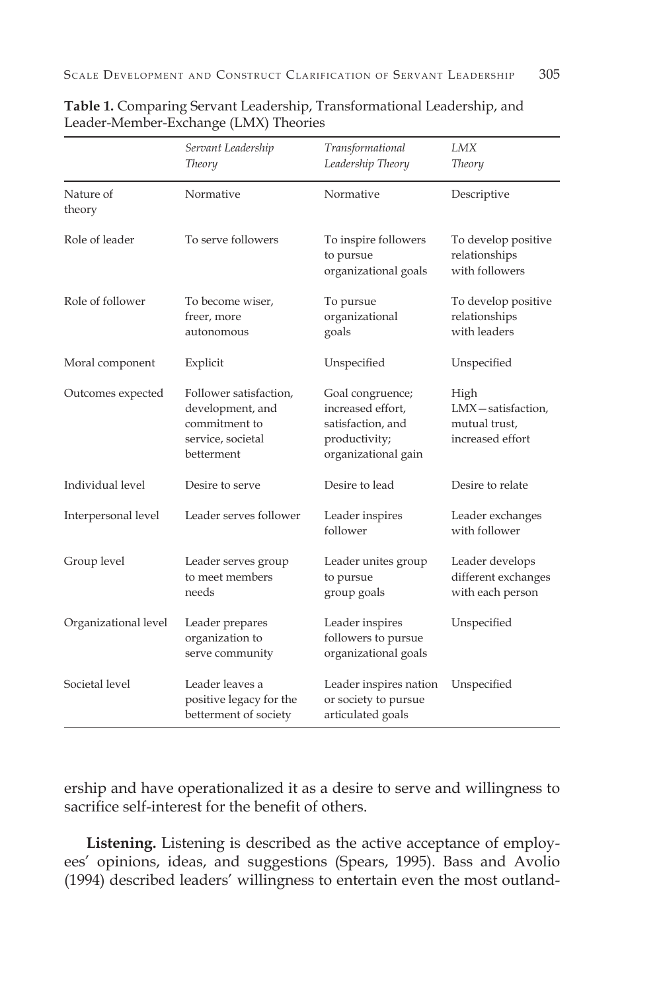|                      | Servant Leadership<br><b>Theory</b>                                                            | Transformational<br>Leadership Theory                                                              | LMX<br><b>Theory</b>                                           |
|----------------------|------------------------------------------------------------------------------------------------|----------------------------------------------------------------------------------------------------|----------------------------------------------------------------|
| Nature of<br>theory  | Normative                                                                                      | Normative                                                                                          | Descriptive                                                    |
| Role of leader       | To serve followers                                                                             | To inspire followers<br>to pursue<br>organizational goals                                          | To develop positive<br>relationships<br>with followers         |
| Role of follower     | To become wiser,<br>freer, more<br>autonomous                                                  | To pursue<br>organizational<br>goals                                                               | To develop positive<br>relationships<br>with leaders           |
| Moral component      | Explicit                                                                                       | Unspecified                                                                                        | Unspecified                                                    |
| Outcomes expected    | Follower satisfaction,<br>development, and<br>commitment to<br>service, societal<br>betterment | Goal congruence;<br>increased effort,<br>satisfaction, and<br>productivity;<br>organizational gain | High<br>LMX-satisfaction,<br>mutual trust,<br>increased effort |
| Individual level     | Desire to serve                                                                                | Desire to lead                                                                                     | Desire to relate                                               |
| Interpersonal level  | Leader serves follower                                                                         | Leader inspires<br>follower                                                                        | Leader exchanges<br>with follower                              |
| Group level          | Leader serves group<br>to meet members<br>needs                                                | Leader unites group<br>to pursue<br>group goals                                                    | Leader develops<br>different exchanges<br>with each person     |
| Organizational level | Leader prepares<br>organization to<br>serve community                                          | Leader inspires<br>followers to pursue<br>organizational goals                                     | Unspecified                                                    |
| Societal level       | Leader leaves a<br>positive legacy for the<br>betterment of society                            | Leader inspires nation<br>or society to pursue<br>articulated goals                                | Unspecified                                                    |

**Table 1.** Comparing Servant Leadership, Transformational Leadership, and Leader-Member-Exchange (LMX) Theories

ership and have operationalized it as a desire to serve and willingness to sacrifice self-interest for the benefit of others.

**Listening.** Listening is described as the active acceptance of employees' opinions, ideas, and suggestions (Spears, 1995). Bass and Avolio (1994) described leaders' willingness to entertain even the most outland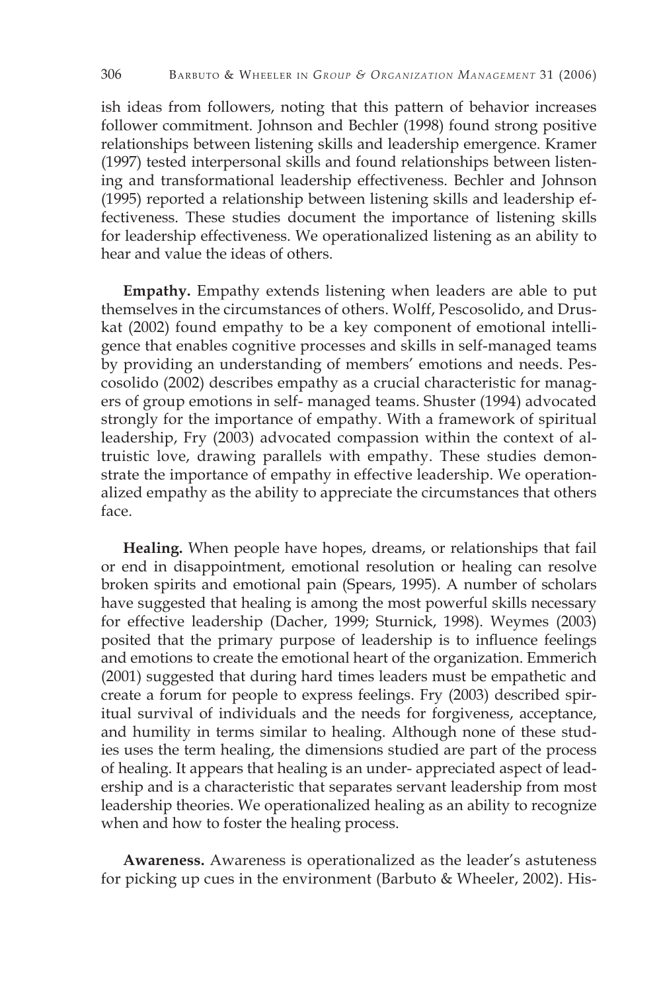ish ideas from followers, noting that this pattern of behavior increases follower commitment. Johnson and Bechler (1998) found strong positive relationships between listening skills and leadership emergence. Kramer (1997) tested interpersonal skills and found relationships between listening and transformational leadership effectiveness. Bechler and Johnson (1995) reported a relationship between listening skills and leadership effectiveness. These studies document the importance of listening skills for leadership effectiveness. We operationalized listening as an ability to hear and value the ideas of others.

**Empathy.** Empathy extends listening when leaders are able to put themselves in the circumstances of others. Wolff, Pescosolido, and Druskat (2002) found empathy to be a key component of emotional intelligence that enables cognitive processes and skills in self-managed teams by providing an understanding of members' emotions and needs. Pescosolido (2002) describes empathy as a crucial characteristic for managers of group emotions in self- managed teams. Shuster (1994) advocated strongly for the importance of empathy. With a framework of spiritual leadership, Fry (2003) advocated compassion within the context of altruistic love, drawing parallels with empathy. These studies demonstrate the importance of empathy in effective leadership. We operationalized empathy as the ability to appreciate the circumstances that others face.

**Healing.** When people have hopes, dreams, or relationships that fail or end in disappointment, emotional resolution or healing can resolve broken spirits and emotional pain (Spears, 1995). A number of scholars have suggested that healing is among the most powerful skills necessary for effective leadership (Dacher, 1999; Sturnick, 1998). Weymes (2003) posited that the primary purpose of leadership is to influence feelings and emotions to create the emotional heart of the organization. Emmerich (2001) suggested that during hard times leaders must be empathetic and create a forum for people to express feelings. Fry (2003) described spiritual survival of individuals and the needs for forgiveness, acceptance, and humility in terms similar to healing. Although none of these studies uses the term healing, the dimensions studied are part of the process of healing. It appears that healing is an under- appreciated aspect of leadership and is a characteristic that separates servant leadership from most leadership theories. We operationalized healing as an ability to recognize when and how to foster the healing process.

**Awareness.** Awareness is operationalized as the leader's astuteness for picking up cues in the environment (Barbuto & Wheeler, 2002). His-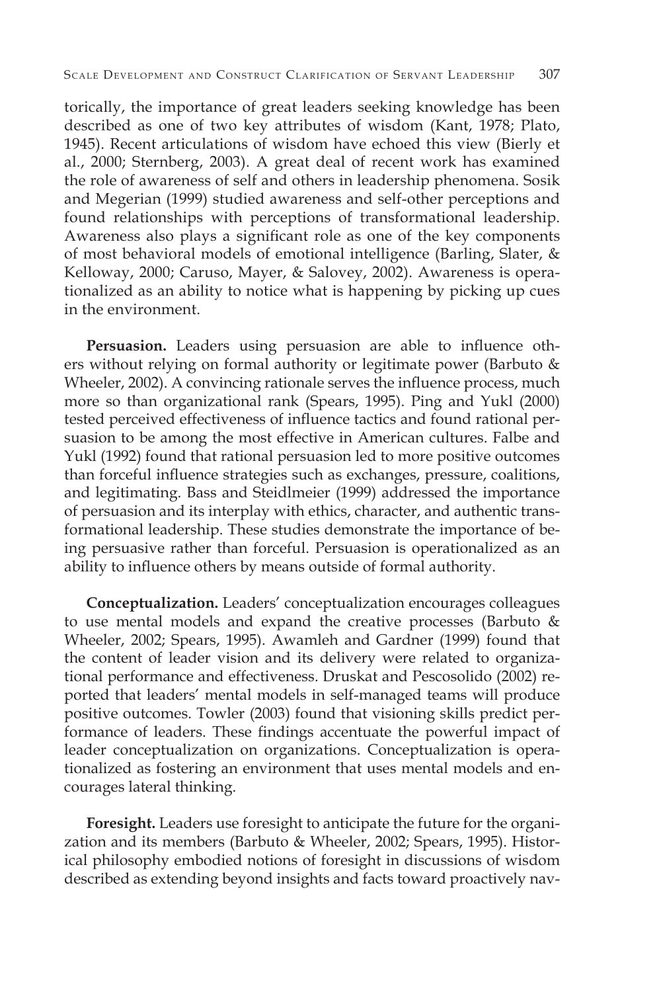torically, the importance of great leaders seeking knowledge has been described as one of two key attributes of wisdom (Kant, 1978; Plato, 1945). Recent articulations of wisdom have echoed this view (Bierly et al., 2000; Sternberg, 2003). A great deal of recent work has examined the role of awareness of self and others in leadership phenomena. Sosik and Megerian (1999) studied awareness and self-other perceptions and found relationships with perceptions of transformational leadership. Awareness also plays a significant role as one of the key components of most behavioral models of emotional intelligence (Barling, Slater, & Kelloway, 2000; Caruso, Mayer, & Salovey, 2002). Awareness is operationalized as an ability to notice what is happening by picking up cues in the environment.

**Persuasion.** Leaders using persuasion are able to influence others without relying on formal authority or legitimate power (Barbuto & Wheeler, 2002). A convincing rationale serves the influence process, much more so than organizational rank (Spears, 1995). Ping and Yukl (2000) tested perceived effectiveness of influence tactics and found rational persuasion to be among the most effective in American cultures. Falbe and Yukl (1992) found that rational persuasion led to more positive outcomes than forceful influence strategies such as exchanges, pressure, coalitions, and legitimating. Bass and Steidlmeier (1999) addressed the importance of persuasion and its interplay with ethics, character, and authentic transformational leadership. These studies demonstrate the importance of being persuasive rather than forceful. Persuasion is operationalized as an ability to influence others by means outside of formal authority.

**Conceptualization.** Leaders' conceptualization encourages colleagues to use mental models and expand the creative processes (Barbuto & Wheeler, 2002; Spears, 1995). Awamleh and Gardner (1999) found that the content of leader vision and its delivery were related to organizational performance and effectiveness. Druskat and Pescosolido (2002) reported that leaders' mental models in self-managed teams will produce positive outcomes. Towler (2003) found that visioning skills predict performance of leaders. These findings accentuate the powerful impact of leader conceptualization on organizations. Conceptualization is operationalized as fostering an environment that uses mental models and encourages lateral thinking.

**Foresight.** Leaders use foresight to anticipate the future for the organization and its members (Barbuto & Wheeler, 2002; Spears, 1995). Historical philosophy embodied notions of foresight in discussions of wisdom described as extending beyond insights and facts toward proactively nav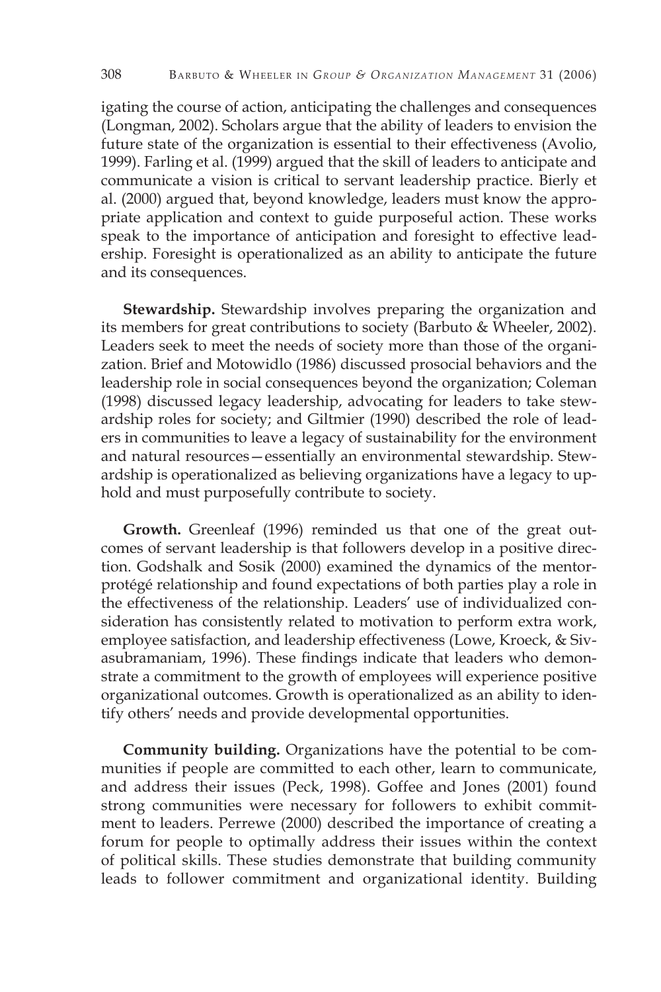igating the course of action, anticipating the challenges and consequences (Longman, 2002). Scholars argue that the ability of leaders to envision the future state of the organization is essential to their effectiveness (Avolio, 1999). Farling et al. (1999) argued that the skill of leaders to anticipate and communicate a vision is critical to servant leadership practice. Bierly et al. (2000) argued that, beyond knowledge, leaders must know the appropriate application and context to guide purposeful action. These works speak to the importance of anticipation and foresight to effective leadership. Foresight is operationalized as an ability to anticipate the future and its consequences.

**Stewardship.** Stewardship involves preparing the organization and its members for great contributions to society (Barbuto & Wheeler, 2002). Leaders seek to meet the needs of society more than those of the organization. Brief and Motowidlo (1986) discussed prosocial behaviors and the leadership role in social consequences beyond the organization; Coleman (1998) discussed legacy leadership, advocating for leaders to take stewardship roles for society; and Giltmier (1990) described the role of leaders in communities to leave a legacy of sustainability for the environment and natural resources—essentially an environmental stewardship. Stewardship is operationalized as believing organizations have a legacy to uphold and must purposefully contribute to society.

**Growth.** Greenleaf (1996) reminded us that one of the great outcomes of servant leadership is that followers develop in a positive direction. Godshalk and Sosik (2000) examined the dynamics of the mentorprotégé relationship and found expectations of both parties play a role in the effectiveness of the relationship. Leaders' use of individualized consideration has consistently related to motivation to perform extra work, employee satisfaction, and leadership effectiveness (Lowe, Kroeck, & Sivasubramaniam, 1996). These findings indicate that leaders who demonstrate a commitment to the growth of employees will experience positive organizational outcomes. Growth is operationalized as an ability to identify others' needs and provide developmental opportunities.

**Community building.** Organizations have the potential to be communities if people are committed to each other, learn to communicate, and address their issues (Peck, 1998). Goffee and Jones (2001) found strong communities were necessary for followers to exhibit commitment to leaders. Perrewe (2000) described the importance of creating a forum for people to optimally address their issues within the context of political skills. These studies demonstrate that building community leads to follower commitment and organizational identity. Building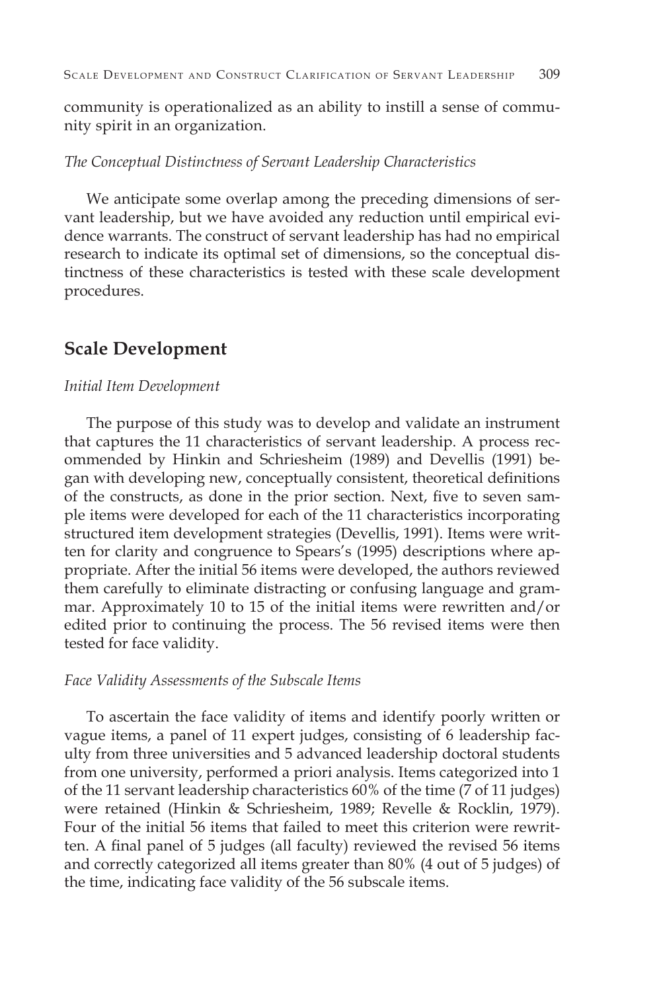community is operationalized as an ability to instill a sense of community spirit in an organization.

#### *The Conceptual Distinctness of Servant Leadership Characteristics*

We anticipate some overlap among the preceding dimensions of servant leadership, but we have avoided any reduction until empirical evidence warrants. The construct of servant leadership has had no empirical research to indicate its optimal set of dimensions, so the conceptual distinctness of these characteristics is tested with these scale development procedures.

# **Scale Development**

#### *Initial Item Development*

The purpose of this study was to develop and validate an instrument that captures the 11 characteristics of servant leadership. A process recommended by Hinkin and Schriesheim (1989) and Devellis (1991) began with developing new, conceptually consistent, theoretical definitions of the constructs, as done in the prior section. Next, five to seven sample items were developed for each of the 11 characteristics incorporating structured item development strategies (Devellis, 1991). Items were written for clarity and congruence to Spears's (1995) descriptions where appropriate. After the initial 56 items were developed, the authors reviewed them carefully to eliminate distracting or confusing language and grammar. Approximately 10 to 15 of the initial items were rewritten and/or edited prior to continuing the process. The 56 revised items were then tested for face validity.

#### *Face Validity Assessments of the Subscale Items*

To ascertain the face validity of items and identify poorly written or vague items, a panel of 11 expert judges, consisting of 6 leadership faculty from three universities and 5 advanced leadership doctoral students from one university, performed a priori analysis. Items categorized into 1 of the 11 servant leadership characteristics 60% of the time (7 of 11 judges) were retained (Hinkin & Schriesheim, 1989; Revelle & Rocklin, 1979). Four of the initial 56 items that failed to meet this criterion were rewritten. A final panel of 5 judges (all faculty) reviewed the revised 56 items and correctly categorized all items greater than 80% (4 out of 5 judges) of the time, indicating face validity of the 56 subscale items.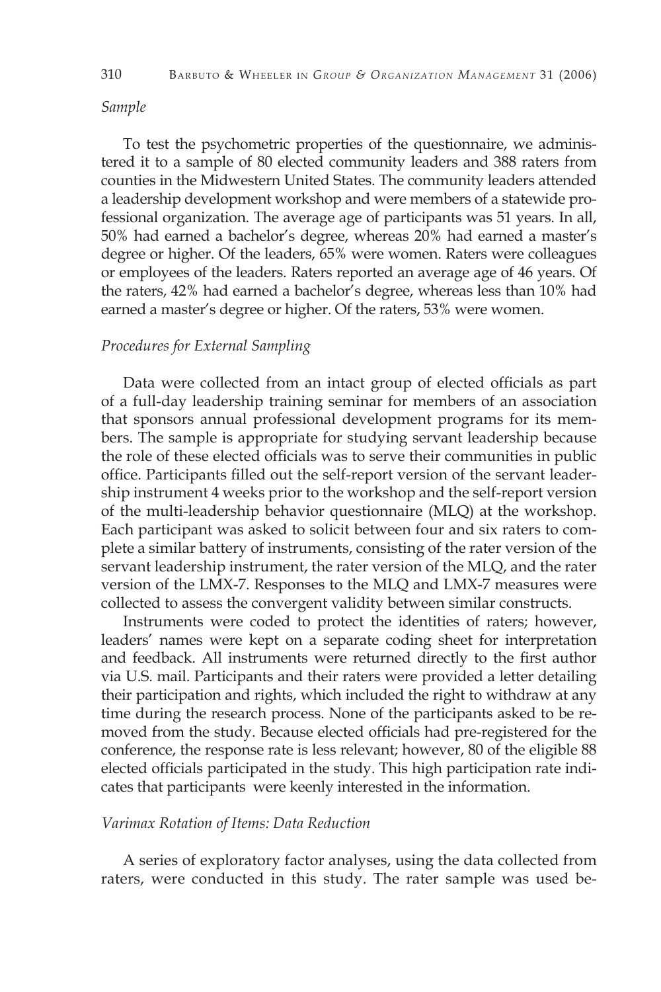#### *Sample*

To test the psychometric properties of the questionnaire, we administered it to a sample of 80 elected community leaders and 388 raters from counties in the Midwestern United States. The community leaders attended a leadership development workshop and were members of a statewide professional organization. The average age of participants was 51 years. In all, 50% had earned a bachelor's degree, whereas 20% had earned a master's degree or higher. Of the leaders, 65% were women. Raters were colleagues or employees of the leaders. Raters reported an average age of 46 years. Of the raters, 42% had earned a bachelor's degree, whereas less than 10% had earned a master's degree or higher. Of the raters, 53% were women.

#### *Procedures for External Sampling*

Data were collected from an intact group of elected officials as part of a full-day leadership training seminar for members of an association that sponsors annual professional development programs for its members. The sample is appropriate for studying servant leadership because the role of these elected officials was to serve their communities in public office. Participants filled out the self-report version of the servant leadership instrument 4 weeks prior to the workshop and the self-report version of the multi-leadership behavior questionnaire (MLQ) at the workshop. Each participant was asked to solicit between four and six raters to complete a similar battery of instruments, consisting of the rater version of the servant leadership instrument, the rater version of the MLQ, and the rater version of the LMX-7. Responses to the MLQ and LMX-7 measures were collected to assess the convergent validity between similar constructs.

Instruments were coded to protect the identities of raters; however, leaders' names were kept on a separate coding sheet for interpretation and feedback. All instruments were returned directly to the first author via U.S. mail. Participants and their raters were provided a letter detailing their participation and rights, which included the right to withdraw at any time during the research process. None of the participants asked to be removed from the study. Because elected officials had pre-registered for the conference, the response rate is less relevant; however, 80 of the eligible 88 elected officials participated in the study. This high participation rate indicates that participants were keenly interested in the information.

#### *Varimax Rotation of Items: Data Reduction*

A series of exploratory factor analyses, using the data collected from raters, were conducted in this study. The rater sample was used be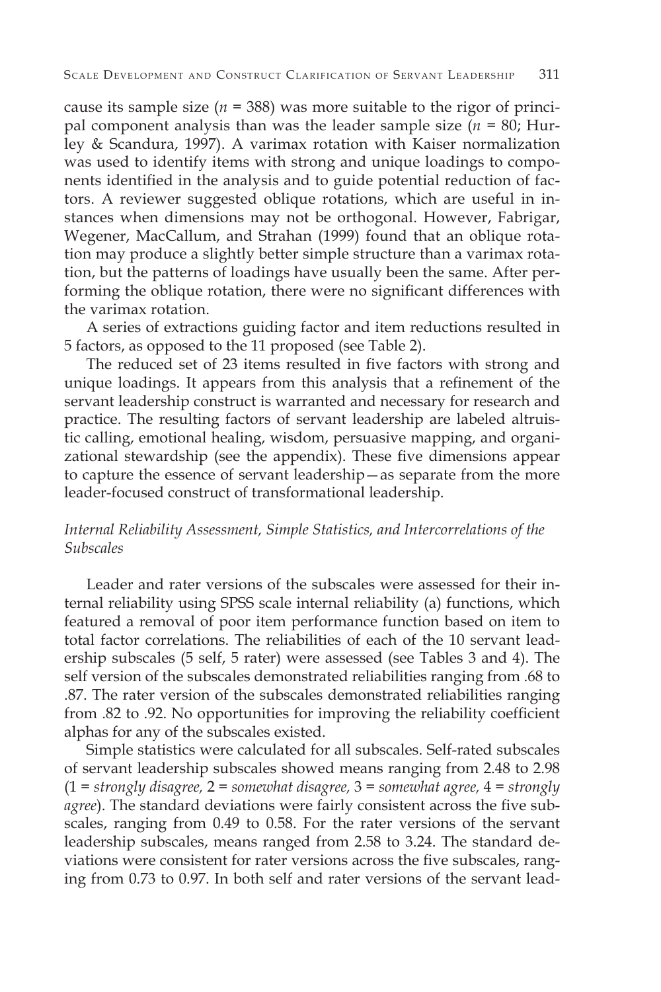cause its sample size ( $n = 388$ ) was more suitable to the rigor of principal component analysis than was the leader sample size  $(n = 80;$  Hurley & Scandura, 1997). A varimax rotation with Kaiser normalization was used to identify items with strong and unique loadings to components identified in the analysis and to guide potential reduction of factors. A reviewer suggested oblique rotations, which are useful in instances when dimensions may not be orthogonal. However, Fabrigar, Wegener, MacCallum, and Strahan (1999) found that an oblique rotation may produce a slightly better simple structure than a varimax rotation, but the patterns of loadings have usually been the same. After performing the oblique rotation, there were no significant differences with the varimax rotation.

A series of extractions guiding factor and item reductions resulted in 5 factors, as opposed to the 11 proposed (see Table 2).

The reduced set of 23 items resulted in five factors with strong and unique loadings. It appears from this analysis that a refinement of the servant leadership construct is warranted and necessary for research and practice. The resulting factors of servant leadership are labeled altruistic calling, emotional healing, wisdom, persuasive mapping, and organizational stewardship (see the appendix). These five dimensions appear to capture the essence of servant leadership—as separate from the more leader-focused construct of transformational leadership.

#### *Internal Reliability Assessment, Simple Statistics, and Intercorrelations of the Subscales*

Leader and rater versions of the subscales were assessed for their internal reliability using SPSS scale internal reliability (a) functions, which featured a removal of poor item performance function based on item to total factor correlations. The reliabilities of each of the 10 servant leadership subscales (5 self, 5 rater) were assessed (see Tables 3 and 4). The self version of the subscales demonstrated reliabilities ranging from .68 to .87. The rater version of the subscales demonstrated reliabilities ranging from .82 to .92. No opportunities for improving the reliability coefficient alphas for any of the subscales existed.

Simple statistics were calculated for all subscales. Self-rated subscales of servant leadership subscales showed means ranging from 2.48 to 2.98 (1 = *strongly disagree,* 2 = *somewhat disagree,* 3 = *somewhat agree,* 4 = *strongly agree*). The standard deviations were fairly consistent across the five subscales, ranging from 0.49 to 0.58. For the rater versions of the servant leadership subscales, means ranged from 2.58 to 3.24. The standard deviations were consistent for rater versions across the five subscales, ranging from 0.73 to 0.97. In both self and rater versions of the servant lead-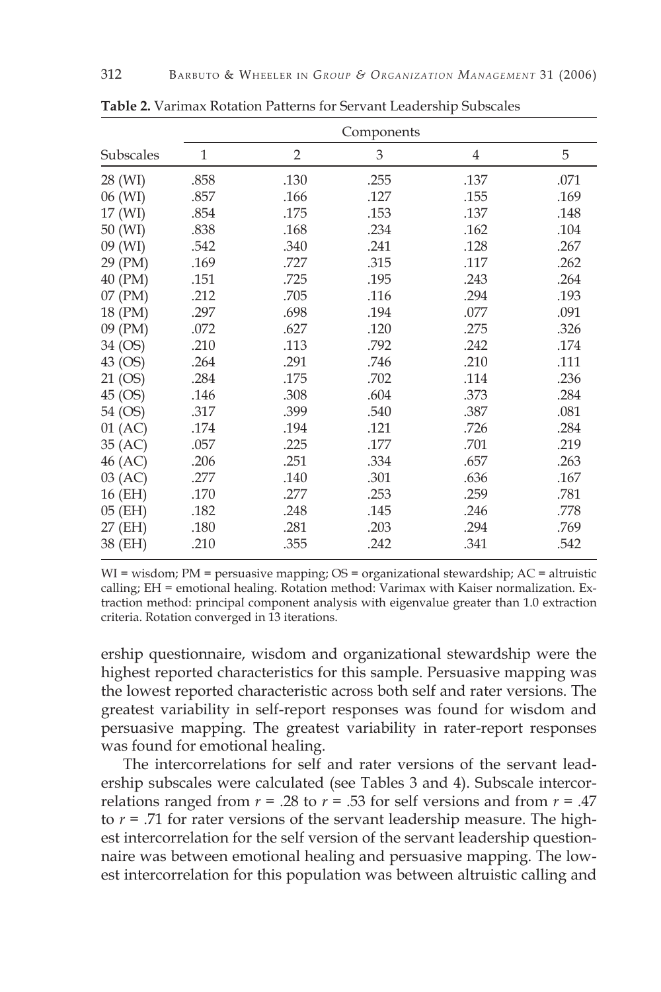|           | Components   |                |      |      |      |
|-----------|--------------|----------------|------|------|------|
| Subscales | $\mathbf{1}$ | $\overline{2}$ | 3    | 4    | 5    |
| 28 (WI)   | .858         | .130           | .255 | .137 | .071 |
| 06 (WI)   | .857         | .166           | .127 | .155 | .169 |
| 17 (WI)   | .854         | .175           | .153 | .137 | .148 |
| 50 (WI)   | .838         | .168           | .234 | .162 | .104 |
| 09 (WI)   | .542         | .340           | .241 | .128 | .267 |
| 29 (PM)   | .169         | .727           | .315 | .117 | .262 |
| 40 (PM)   | .151         | .725           | .195 | .243 | .264 |
| 07 (PM)   | .212         | .705           | .116 | .294 | .193 |
| 18 (PM)   | .297         | .698           | .194 | .077 | .091 |
| 09 (PM)   | .072         | .627           | .120 | .275 | .326 |
| 34 (OS)   | .210         | .113           | .792 | .242 | .174 |
| 43 (OS)   | .264         | .291           | .746 | .210 | .111 |
| 21 (OS)   | .284         | .175           | .702 | .114 | .236 |
| 45 (OS)   | .146         | .308           | .604 | .373 | .284 |
| 54 (OS)   | .317         | .399           | .540 | .387 | .081 |
| $01$ (AC) | .174         | .194           | .121 | .726 | .284 |
| 35 (AC)   | .057         | .225           | .177 | .701 | .219 |
| 46 (AC)   | .206         | .251           | .334 | .657 | .263 |
| 03 (AC)   | .277         | .140           | .301 | .636 | .167 |
| 16 (EH)   | .170         | .277           | .253 | .259 | .781 |
| 05 (EH)   | .182         | .248           | .145 | .246 | .778 |
| 27 (EH)   | .180         | .281           | .203 | .294 | .769 |
| 38 (EH)   | .210         | .355           | .242 | .341 | .542 |

**Table 2.** Varimax Rotation Patterns for Servant Leadership Subscales

 $WI = wisdom; PM = persuasive mapping; OS = organizational stewardship; AC = altitude$ calling; EH = emotional healing. Rotation method: Varimax with Kaiser normalization. Extraction method: principal component analysis with eigenvalue greater than 1.0 extraction criteria. Rotation converged in 13 iterations.

ership questionnaire, wisdom and organizational stewardship were the highest reported characteristics for this sample. Persuasive mapping was the lowest reported characteristic across both self and rater versions. The greatest variability in self-report responses was found for wisdom and persuasive mapping. The greatest variability in rater-report responses was found for emotional healing.

The intercorrelations for self and rater versions of the servant leadership subscales were calculated (see Tables 3 and 4). Subscale intercorrelations ranged from  $r = .28$  to  $r = .53$  for self versions and from  $r = .47$ to  $r = .71$  for rater versions of the servant leadership measure. The highest intercorrelation for the self version of the servant leadership questionnaire was between emotional healing and persuasive mapping. The lowest intercorrelation for this population was between altruistic calling and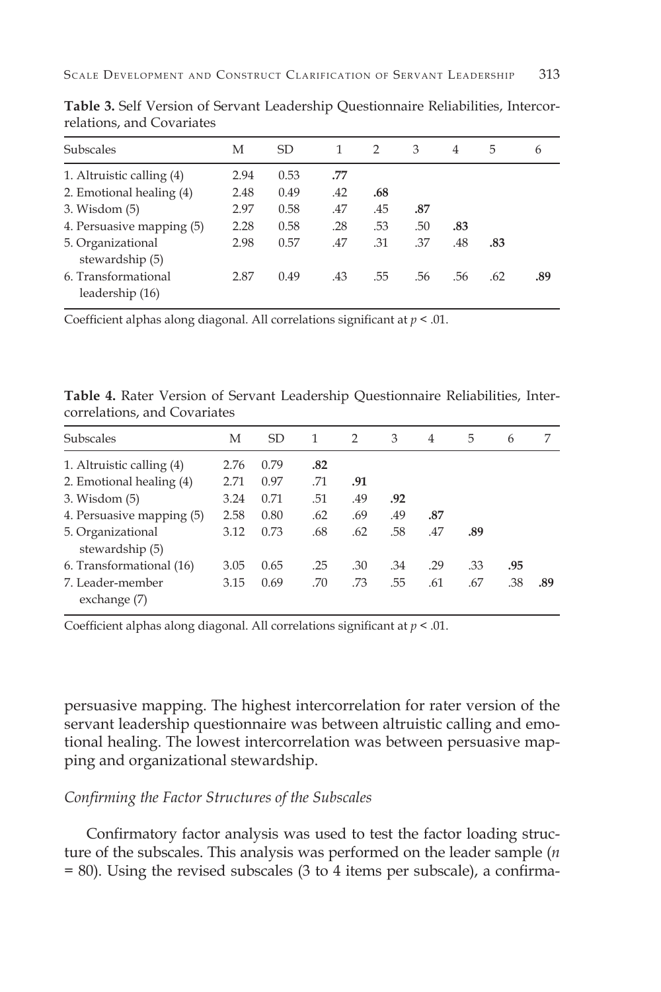| Subscales                 | М    | SD   |     | $\mathcal{P}$ | 3   | 4   | 5   | 6   |
|---------------------------|------|------|-----|---------------|-----|-----|-----|-----|
| 1. Altruistic calling (4) | 2.94 | 0.53 | .77 |               |     |     |     |     |
| 2. Emotional healing (4)  | 2.48 | 0.49 | .42 | .68           |     |     |     |     |
| $3.$ Wisdom $(5)$         | 2.97 | 0.58 | .47 | .45           | .87 |     |     |     |
| 4. Persuasive mapping (5) | 2.28 | 0.58 | .28 | .53           | .50 | .83 |     |     |
| 5. Organizational         | 2.98 | 0.57 | .47 | .31           | .37 | .48 | .83 |     |
| stewardship (5)           |      |      |     |               |     |     |     |     |
| 6. Transformational       | 2.87 | 0.49 | .43 | .55           | .56 | .56 | .62 | .89 |
| leadership (16)           |      |      |     |               |     |     |     |     |
|                           |      |      |     |               |     |     |     |     |

**Table 3.** Self Version of Servant Leadership Questionnaire Reliabilities, Intercorrelations, and Covariates

Coefficient alphas along diagonal. All correlations significant at *p* < .01.

**Table 4.** Rater Version of Servant Leadership Questionnaire Reliabilities, Intercorrelations, and Covariates

| Subscales                            | М    | SD.  | 1   | 2   | 3   | $\overline{4}$ | 5   | 6   |     |
|--------------------------------------|------|------|-----|-----|-----|----------------|-----|-----|-----|
| 1. Altruistic calling (4)            | 2.76 | 0.79 | .82 |     |     |                |     |     |     |
| 2. Emotional healing (4)             | 2.71 | 0.97 | .71 | .91 |     |                |     |     |     |
| $3.$ Wisdom $(5)$                    | 3.24 | 0.71 | .51 | .49 | .92 |                |     |     |     |
| 4. Persuasive mapping (5)            | 2.58 | 0.80 | .62 | .69 | .49 | .87            |     |     |     |
| 5. Organizational<br>stewardship (5) | 3.12 | 0.73 | .68 | .62 | .58 | .47            | .89 |     |     |
| 6. Transformational (16)             | 3.05 | 0.65 | .25 | .30 | .34 | .29            | .33 | .95 |     |
| 7. Leader-member                     | 3.15 | 0.69 | .70 | .73 | .55 | .61            | .67 | .38 | .89 |
| exchange (7)                         |      |      |     |     |     |                |     |     |     |

Coefficient alphas along diagonal. All correlations significant at *p* < .01.

persuasive mapping. The highest intercorrelation for rater version of the servant leadership questionnaire was between altruistic calling and emotional healing. The lowest intercorrelation was between persuasive mapping and organizational stewardship.

#### *Confirming the Factor Structures of the Subscales*

Confirmatory factor analysis was used to test the factor loading structure of the subscales. This analysis was performed on the leader sample (*n* = 80). Using the revised subscales (3 to 4 items per subscale), a confirma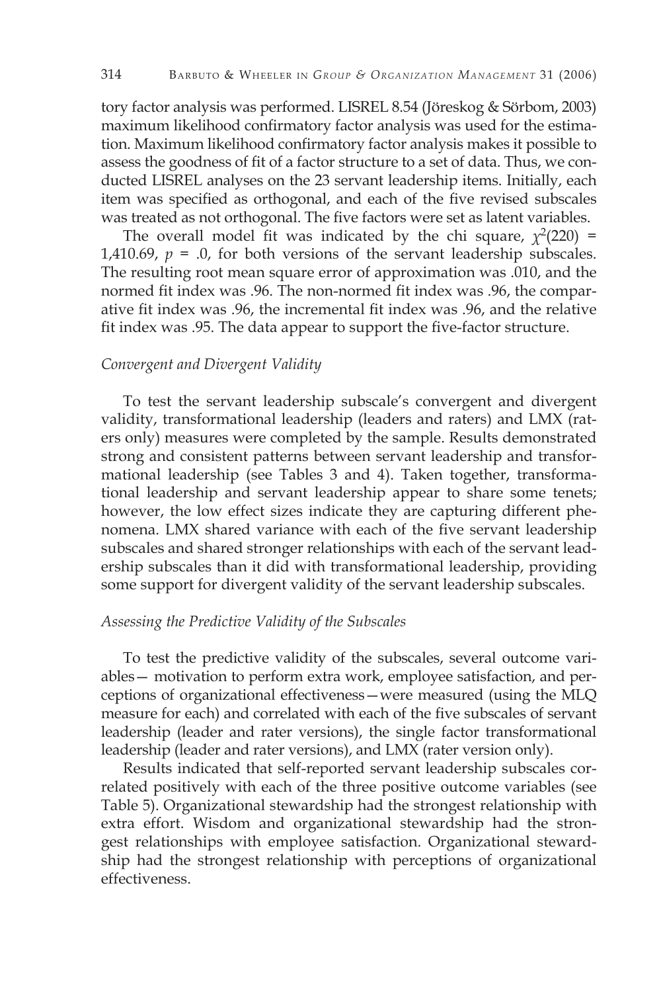tory factor analysis was performed. LISREL 8.54 (Jöreskog & Sörbom, 2003) maximum likelihood confirmatory factor analysis was used for the estimation. Maximum likelihood confirmatory factor analysis makes it possible to assess the goodness of fit of a factor structure to a set of data. Thus, we conducted LISREL analyses on the 23 servant leadership items. Initially, each item was specified as orthogonal, and each of the five revised subscales was treated as not orthogonal. The five factors were set as latent variables.

The overall model fit was indicated by the chi square,  $\chi^2(220)$  = 1,410.69,  $p = 0$ , for both versions of the servant leadership subscales. The resulting root mean square error of approximation was .010, and the normed fit index was .96. The non-normed fit index was .96, the comparative fit index was .96, the incremental fit index was .96, and the relative fit index was .95. The data appear to support the five-factor structure.

#### *Convergent and Divergent Validity*

To test the servant leadership subscale's convergent and divergent validity, transformational leadership (leaders and raters) and LMX (raters only) measures were completed by the sample. Results demonstrated strong and consistent patterns between servant leadership and transformational leadership (see Tables 3 and 4). Taken together, transformational leadership and servant leadership appear to share some tenets; however, the low effect sizes indicate they are capturing different phenomena. LMX shared variance with each of the five servant leadership subscales and shared stronger relationships with each of the servant leadership subscales than it did with transformational leadership, providing some support for divergent validity of the servant leadership subscales.

#### *Assessing the Predictive Validity of the Subscales*

To test the predictive validity of the subscales, several outcome variables— motivation to perform extra work, employee satisfaction, and perceptions of organizational effectiveness—were measured (using the MLQ measure for each) and correlated with each of the five subscales of servant leadership (leader and rater versions), the single factor transformational leadership (leader and rater versions), and LMX (rater version only).

Results indicated that self-reported servant leadership subscales correlated positively with each of the three positive outcome variables (see Table 5). Organizational stewardship had the strongest relationship with extra effort. Wisdom and organizational stewardship had the strongest relationships with employee satisfaction. Organizational stewardship had the strongest relationship with perceptions of organizational effectiveness.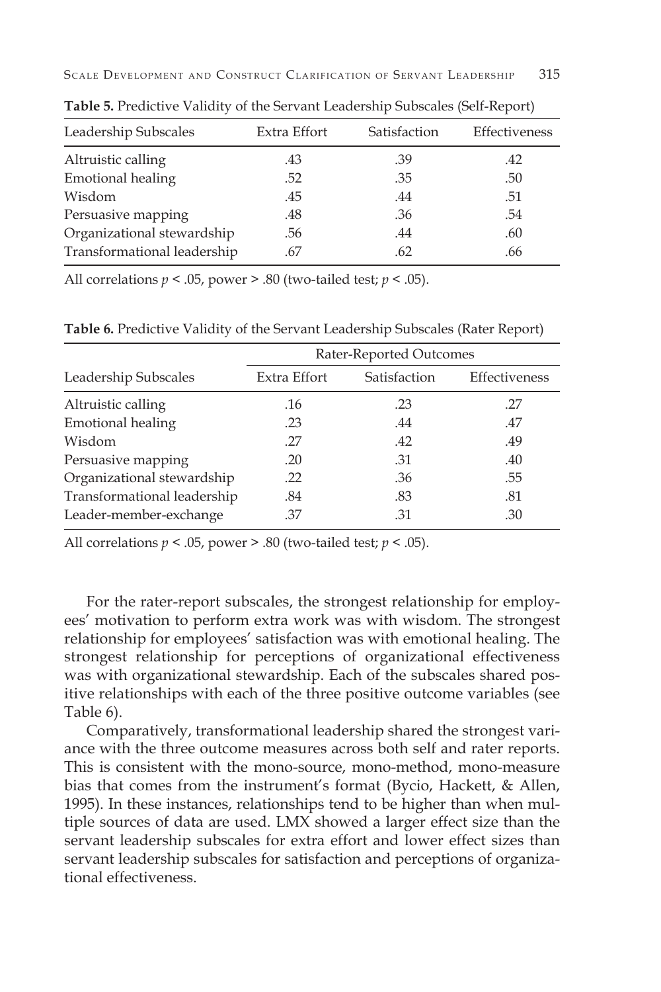| Leadership Subscales        | Extra Effort | Satisfaction | Effectiveness |
|-----------------------------|--------------|--------------|---------------|
| Altruistic calling          | .43          | .39          | .42           |
| <b>Emotional healing</b>    | .52          | .35          | .50           |
| Wisdom                      | .45          | .44          | .51           |
| Persuasive mapping          | .48          | .36          | .54           |
| Organizational stewardship  | .56          | .44          | .60           |
| Transformational leadership | .67          | .62          | .66           |
|                             |              |              |               |

**Table 5.** Predictive Validity of the Servant Leadership Subscales (Self-Report)

All correlations *p* < .05, power > .80 (two-tailed test; *p* < .05).

**Table 6.** Predictive Validity of the Servant Leadership Subscales (Rater Report)

|                             |              | Rater-Reported Outcomes |               |
|-----------------------------|--------------|-------------------------|---------------|
| Leadership Subscales        | Extra Effort | Satisfaction            | Effectiveness |
| Altruistic calling          | .16          | .23                     | .27           |
| <b>Emotional healing</b>    | .23          | .44                     | .47           |
| Wisdom                      | .27          | .42                     | .49           |
| Persuasive mapping          | .20          | .31                     | .40           |
| Organizational stewardship  | .22          | .36                     | .55           |
| Transformational leadership | .84          | .83                     | .81           |
| Leader-member-exchange      | .37          | .31                     | .30           |

All correlations  $p < .05$ , power  $> .80$  (two-tailed test;  $p < .05$ ).

For the rater-report subscales, the strongest relationship for employees' motivation to perform extra work was with wisdom. The strongest relationship for employees' satisfaction was with emotional healing. The strongest relationship for perceptions of organizational effectiveness was with organizational stewardship. Each of the subscales shared positive relationships with each of the three positive outcome variables (see Table 6).

Comparatively, transformational leadership shared the strongest variance with the three outcome measures across both self and rater reports. This is consistent with the mono-source, mono-method, mono-measure bias that comes from the instrument's format (Bycio, Hackett, & Allen, 1995). In these instances, relationships tend to be higher than when multiple sources of data are used. LMX showed a larger effect size than the servant leadership subscales for extra effort and lower effect sizes than servant leadership subscales for satisfaction and perceptions of organizational effectiveness.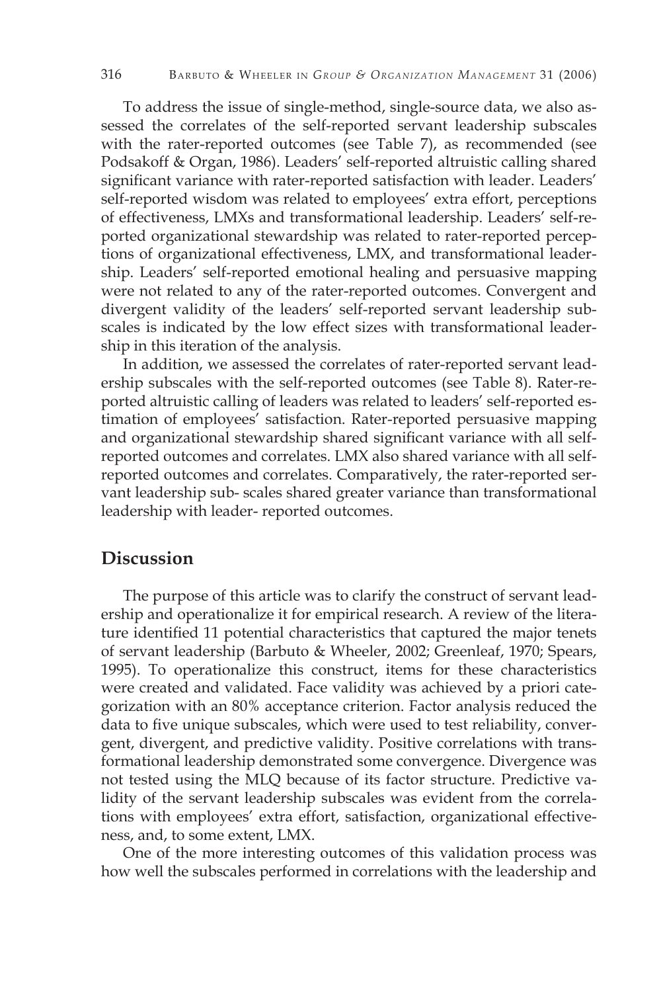To address the issue of single-method, single-source data, we also assessed the correlates of the self-reported servant leadership subscales with the rater-reported outcomes (see Table 7), as recommended (see Podsakoff & Organ, 1986). Leaders' self-reported altruistic calling shared significant variance with rater-reported satisfaction with leader. Leaders' self-reported wisdom was related to employees' extra effort, perceptions of effectiveness, LMXs and transformational leadership. Leaders' self-reported organizational stewardship was related to rater-reported perceptions of organizational effectiveness, LMX, and transformational leadership. Leaders' self-reported emotional healing and persuasive mapping were not related to any of the rater-reported outcomes. Convergent and divergent validity of the leaders' self-reported servant leadership subscales is indicated by the low effect sizes with transformational leadership in this iteration of the analysis.

In addition, we assessed the correlates of rater-reported servant leadership subscales with the self-reported outcomes (see Table 8). Rater-reported altruistic calling of leaders was related to leaders' self-reported estimation of employees' satisfaction. Rater-reported persuasive mapping and organizational stewardship shared significant variance with all selfreported outcomes and correlates. LMX also shared variance with all selfreported outcomes and correlates. Comparatively, the rater-reported servant leadership sub- scales shared greater variance than transformational leadership with leader- reported outcomes.

# **Discussion**

The purpose of this article was to clarify the construct of servant leadership and operationalize it for empirical research. A review of the literature identified 11 potential characteristics that captured the major tenets of servant leadership (Barbuto & Wheeler, 2002; Greenleaf, 1970; Spears, 1995). To operationalize this construct, items for these characteristics were created and validated. Face validity was achieved by a priori categorization with an 80% acceptance criterion. Factor analysis reduced the data to five unique subscales, which were used to test reliability, convergent, divergent, and predictive validity. Positive correlations with transformational leadership demonstrated some convergence. Divergence was not tested using the MLQ because of its factor structure. Predictive validity of the servant leadership subscales was evident from the correlations with employees' extra effort, satisfaction, organizational effectiveness, and, to some extent, LMX.

One of the more interesting outcomes of this validation process was how well the subscales performed in correlations with the leadership and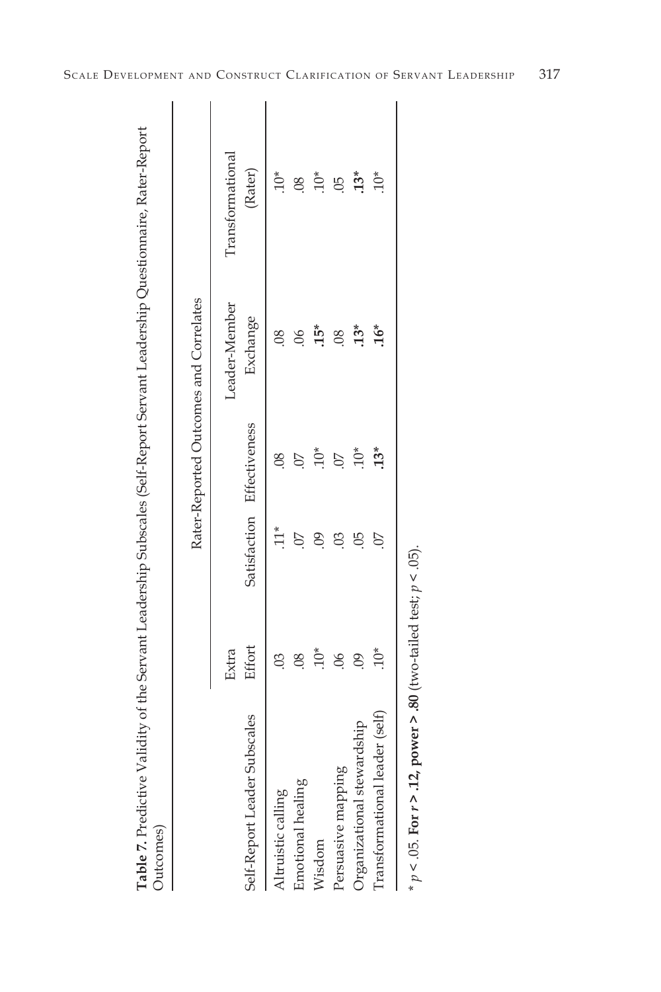|                                |                          |                      |                            | Rater-Reported Outcomes and Correlates |                  |
|--------------------------------|--------------------------|----------------------|----------------------------|----------------------------------------|------------------|
|                                | Extra                    |                      |                            | Leader-Member                          | Transformational |
| Self-Report Leader Subscales   | Effort                   |                      | Satisfaction Effectiveness | Exchange                               | (Rater)          |
| Altruistic calling             |                          |                      |                            |                                        |                  |
| Emotional healing              | $\overline{\mathrm{08}}$ |                      |                            |                                        | $\overline{08}$  |
| Wisdom                         |                          | $\ddot{\mathrm{60}}$ |                            | $15*$                                  | $10*$            |
| Persuasive mapping             | $\ddot{\circ}$           | පි                   |                            | $\overline{\mathcal{S}}$               | $\ddot{\odot}$   |
| Organizational stewardship     | $\overline{6}$           | 9                    | $10*$                      | $13*$                                  | $13*$            |
| Transformational leader (self) | $10*$                    | 07                   | $13*$                      | $.16*$                                 | $10*$            |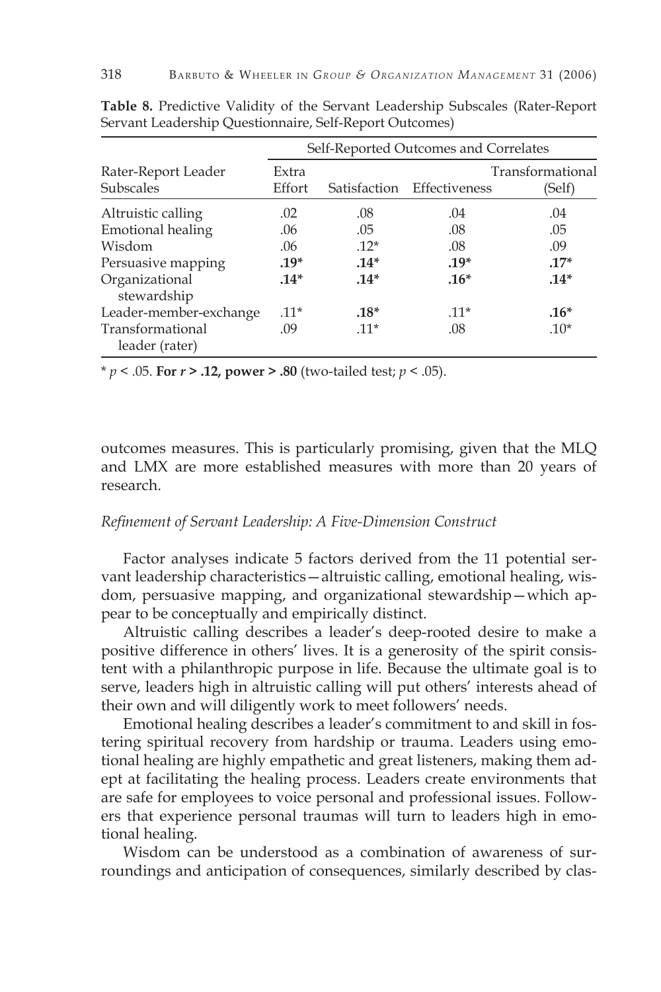|                                         | Self-Reported Outcomes and Correlates |              |               |                            |  |  |
|-----------------------------------------|---------------------------------------|--------------|---------------|----------------------------|--|--|
| Rater-Report Leader<br><b>Subscales</b> | Extra<br>Effort                       | Satisfaction | Effectiveness | Transformational<br>(Self) |  |  |
| Altruistic calling                      | .02                                   | .08          | .04           | .04                        |  |  |
| Emotional healing                       | .06                                   | .05          | .08           | .05                        |  |  |
| Wisdom                                  | .06                                   | $.12*$       | .08           | .09                        |  |  |
| Persuasive mapping                      | $.19*$                                | $.14*$       | $.19*$        | $.17*$                     |  |  |
| Organizational<br>stewardship           | $.14*$                                | $.14*$       | $.16*$        | $.14*$                     |  |  |
| Leader-member-exchange                  | $.11*$                                | $.18*$       | $.11*$        | $.16*$                     |  |  |
| Transformational<br>leader (rater)      | .09                                   | $.11*$       | .08           | $.10*$                     |  |  |

**Table 8.** Predictive Validity of the Servant Leadership Subscales (Rater-Report Servant Leadership Questionnaire, Self-Report Outcomes)

\* *p* < .05. **For** *r* **> .12, power > .80** (two-tailed test; *p* < .05).

outcomes measures. This is particularly promising, given that the MLQ and LMX are more established measures with more than 20 years of research.

#### *Refinement of Servant Leadership: A Five-Dimension Construct*

Factor analyses indicate 5 factors derived from the 11 potential servant leadership characteristics—altruistic calling, emotional healing, wisdom, persuasive mapping, and organizational stewardship—which appear to be conceptually and empirically distinct.

Altruistic calling describes a leader's deep-rooted desire to make a positive difference in others' lives. It is a generosity of the spirit consistent with a philanthropic purpose in life. Because the ultimate goal is to serve, leaders high in altruistic calling will put others' interests ahead of their own and will diligently work to meet followers' needs.

Emotional healing describes a leader's commitment to and skill in fostering spiritual recovery from hardship or trauma. Leaders using emotional healing are highly empathetic and great listeners, making them adept at facilitating the healing process. Leaders create environments that are safe for employees to voice personal and professional issues. Followers that experience personal traumas will turn to leaders high in emotional healing.

Wisdom can be understood as a combination of awareness of surroundings and anticipation of consequences, similarly described by clas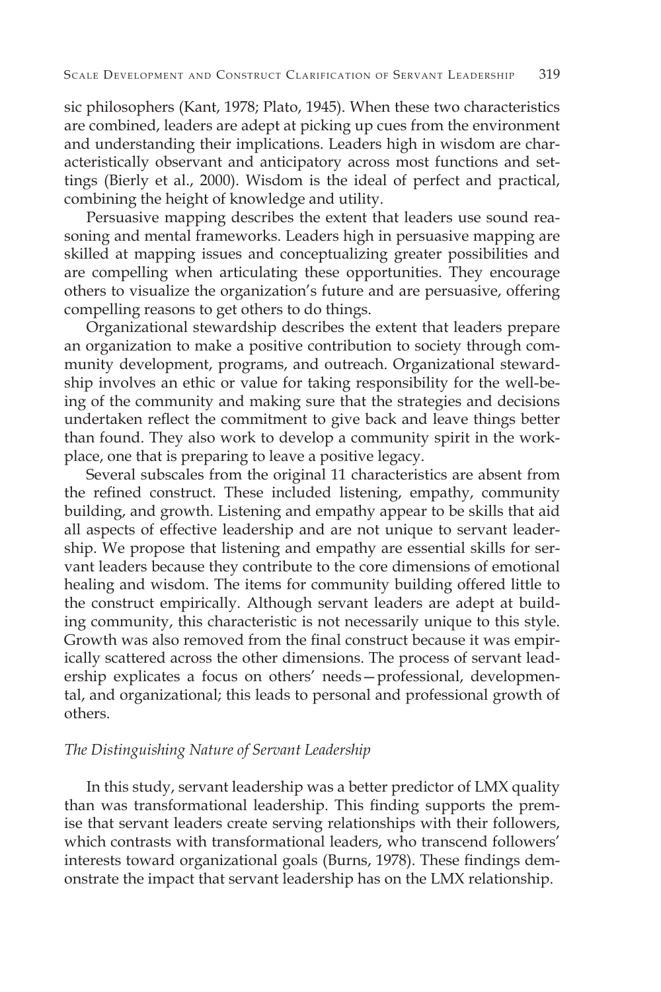sic philosophers (Kant, 1978; Plato, 1945). When these two characteristics are combined, leaders are adept at picking up cues from the environment and understanding their implications. Leaders high in wisdom are characteristically observant and anticipatory across most functions and settings (Bierly et al., 2000). Wisdom is the ideal of perfect and practical, combining the height of knowledge and utility.

Persuasive mapping describes the extent that leaders use sound reasoning and mental frameworks. Leaders high in persuasive mapping are skilled at mapping issues and conceptualizing greater possibilities and are compelling when articulating these opportunities. They encourage others to visualize the organization's future and are persuasive, offering compelling reasons to get others to do things.

Organizational stewardship describes the extent that leaders prepare an organization to make a positive contribution to society through community development, programs, and outreach. Organizational stewardship involves an ethic or value for taking responsibility for the well-being of the community and making sure that the strategies and decisions undertaken reflect the commitment to give back and leave things better than found. They also work to develop a community spirit in the workplace, one that is preparing to leave a positive legacy.

Several subscales from the original 11 characteristics are absent from the refined construct. These included listening, empathy, community building, and growth. Listening and empathy appear to be skills that aid all aspects of effective leadership and are not unique to servant leadership. We propose that listening and empathy are essential skills for servant leaders because they contribute to the core dimensions of emotional healing and wisdom. The items for community building offered little to the construct empirically. Although servant leaders are adept at building community, this characteristic is not necessarily unique to this style. Growth was also removed from the final construct because it was empirically scattered across the other dimensions. The process of servant leadership explicates a focus on others' needs—professional, developmental, and organizational; this leads to personal and professional growth of others.

#### *The Distinguishing Nature of Servant Leadership*

In this study, servant leadership was a better predictor of LMX quality than was transformational leadership. This finding supports the premise that servant leaders create serving relationships with their followers, which contrasts with transformational leaders, who transcend followers' interests toward organizational goals (Burns, 1978). These findings demonstrate the impact that servant leadership has on the LMX relationship.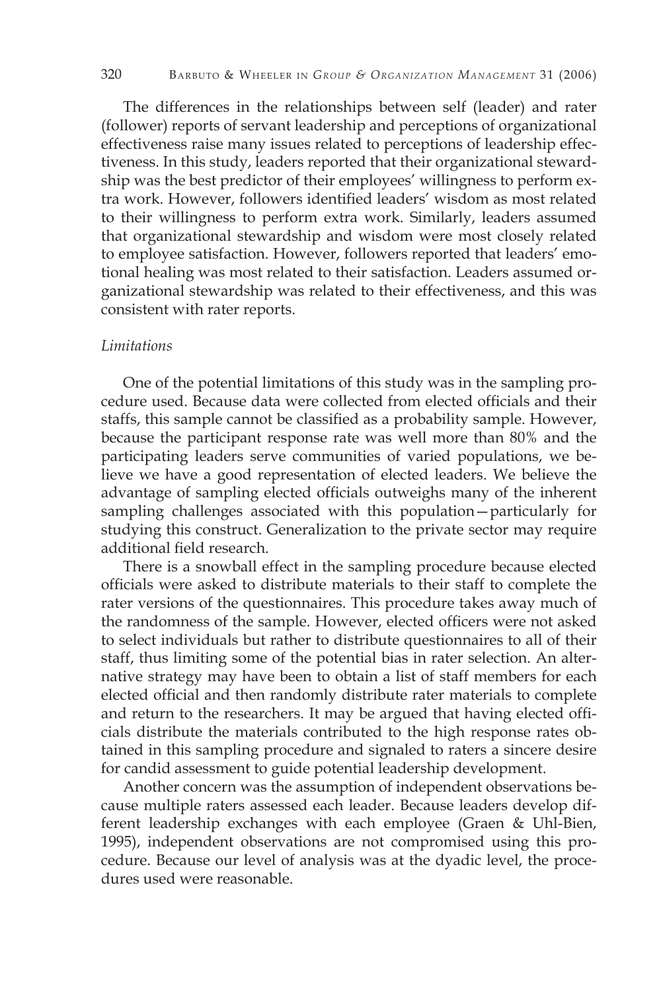The differences in the relationships between self (leader) and rater (follower) reports of servant leadership and perceptions of organizational effectiveness raise many issues related to perceptions of leadership effectiveness. In this study, leaders reported that their organizational stewardship was the best predictor of their employees' willingness to perform extra work. However, followers identified leaders' wisdom as most related to their willingness to perform extra work. Similarly, leaders assumed that organizational stewardship and wisdom were most closely related to employee satisfaction. However, followers reported that leaders' emotional healing was most related to their satisfaction. Leaders assumed organizational stewardship was related to their effectiveness, and this was consistent with rater reports.

#### *Limitations*

One of the potential limitations of this study was in the sampling procedure used. Because data were collected from elected officials and their staffs, this sample cannot be classified as a probability sample. However, because the participant response rate was well more than 80% and the participating leaders serve communities of varied populations, we believe we have a good representation of elected leaders. We believe the advantage of sampling elected officials outweighs many of the inherent sampling challenges associated with this population—particularly for studying this construct. Generalization to the private sector may require additional field research.

There is a snowball effect in the sampling procedure because elected officials were asked to distribute materials to their staff to complete the rater versions of the questionnaires. This procedure takes away much of the randomness of the sample. However, elected officers were not asked to select individuals but rather to distribute questionnaires to all of their staff, thus limiting some of the potential bias in rater selection. An alternative strategy may have been to obtain a list of staff members for each elected official and then randomly distribute rater materials to complete and return to the researchers. It may be argued that having elected officials distribute the materials contributed to the high response rates obtained in this sampling procedure and signaled to raters a sincere desire for candid assessment to guide potential leadership development.

Another concern was the assumption of independent observations because multiple raters assessed each leader. Because leaders develop different leadership exchanges with each employee (Graen & Uhl-Bien, 1995), independent observations are not compromised using this procedure. Because our level of analysis was at the dyadic level, the procedures used were reasonable.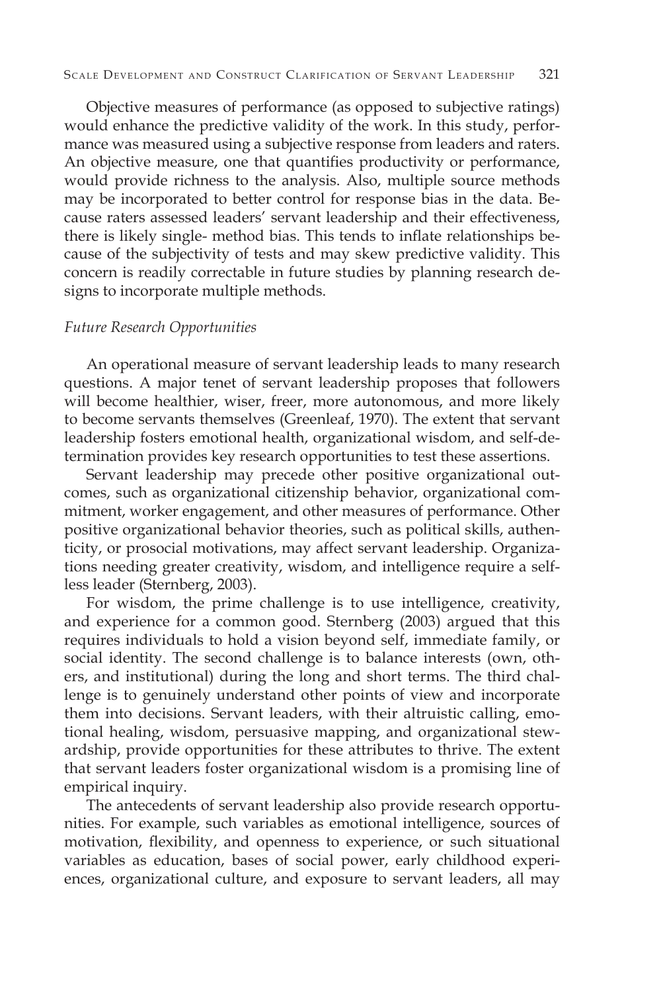Objective measures of performance (as opposed to subjective ratings) would enhance the predictive validity of the work. In this study, performance was measured using a subjective response from leaders and raters. An objective measure, one that quantifies productivity or performance, would provide richness to the analysis. Also, multiple source methods may be incorporated to better control for response bias in the data. Because raters assessed leaders' servant leadership and their effectiveness, there is likely single- method bias. This tends to inflate relationships because of the subjectivity of tests and may skew predictive validity. This concern is readily correctable in future studies by planning research designs to incorporate multiple methods.

#### *Future Research Opportunities*

An operational measure of servant leadership leads to many research questions. A major tenet of servant leadership proposes that followers will become healthier, wiser, freer, more autonomous, and more likely to become servants themselves (Greenleaf, 1970). The extent that servant leadership fosters emotional health, organizational wisdom, and self-determination provides key research opportunities to test these assertions.

Servant leadership may precede other positive organizational outcomes, such as organizational citizenship behavior, organizational commitment, worker engagement, and other measures of performance. Other positive organizational behavior theories, such as political skills, authenticity, or prosocial motivations, may affect servant leadership. Organizations needing greater creativity, wisdom, and intelligence require a selfless leader (Sternberg, 2003).

For wisdom, the prime challenge is to use intelligence, creativity, and experience for a common good. Sternberg (2003) argued that this requires individuals to hold a vision beyond self, immediate family, or social identity. The second challenge is to balance interests (own, others, and institutional) during the long and short terms. The third challenge is to genuinely understand other points of view and incorporate them into decisions. Servant leaders, with their altruistic calling, emotional healing, wisdom, persuasive mapping, and organizational stewardship, provide opportunities for these attributes to thrive. The extent that servant leaders foster organizational wisdom is a promising line of empirical inquiry.

The antecedents of servant leadership also provide research opportunities. For example, such variables as emotional intelligence, sources of motivation, flexibility, and openness to experience, or such situational variables as education, bases of social power, early childhood experiences, organizational culture, and exposure to servant leaders, all may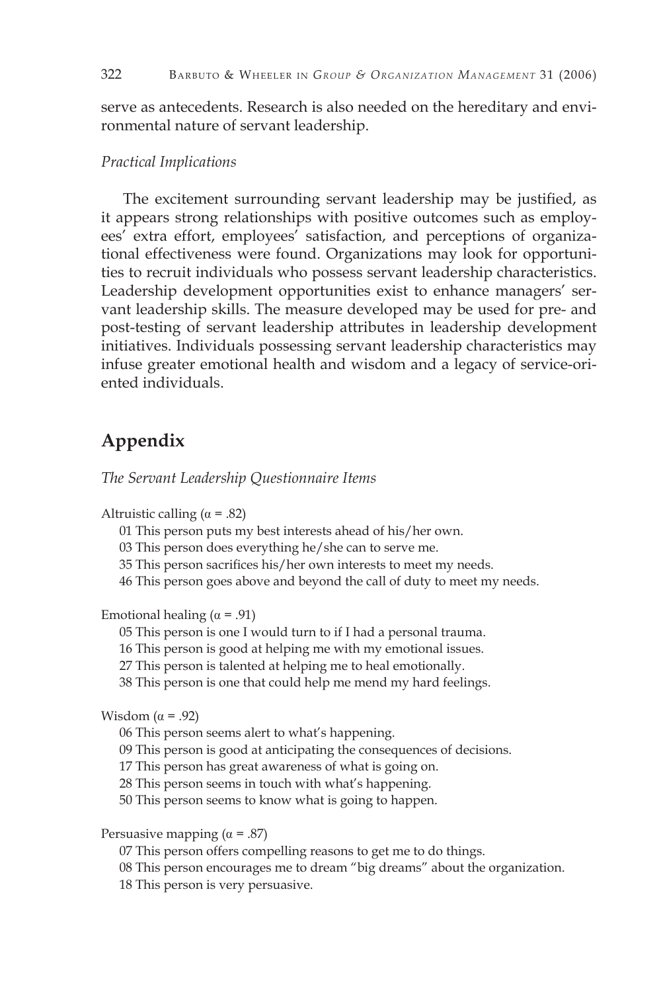serve as antecedents. Research is also needed on the hereditary and environmental nature of servant leadership.

#### *Practical Implications*

The excitement surrounding servant leadership may be justified, as it appears strong relationships with positive outcomes such as employees' extra effort, employees' satisfaction, and perceptions of organizational effectiveness were found. Organizations may look for opportunities to recruit individuals who possess servant leadership characteristics. Leadership development opportunities exist to enhance managers' servant leadership skills. The measure developed may be used for pre- and post-testing of servant leadership attributes in leadership development initiatives. Individuals possessing servant leadership characteristics may infuse greater emotional health and wisdom and a legacy of service-oriented individuals.

# **Appendix**

*The Servant Leadership Questionnaire Items*

Altruistic calling  $(\alpha = .82)$ 

01 This person puts my best interests ahead of his/her own.

03 This person does everything he/she can to serve me.

35 This person sacrifices his/her own interests to meet my needs.

46 This person goes above and beyond the call of duty to meet my needs.

Emotional healing ( $\alpha$  = .91)

05 This person is one I would turn to if I had a personal trauma.

16 This person is good at helping me with my emotional issues.

27 This person is talented at helping me to heal emotionally.

38 This person is one that could help me mend my hard feelings.

Wisdom  $(\alpha = .92)$ 

06 This person seems alert to what's happening.

09 This person is good at anticipating the consequences of decisions.

17 This person has great awareness of what is going on.

28 This person seems in touch with what's happening.

50 This person seems to know what is going to happen.

Persuasive mapping  $(\alpha = .87)$ 

07 This person offers compelling reasons to get me to do things.

08 This person encourages me to dream "big dreams" about the organization.

18 This person is very persuasive.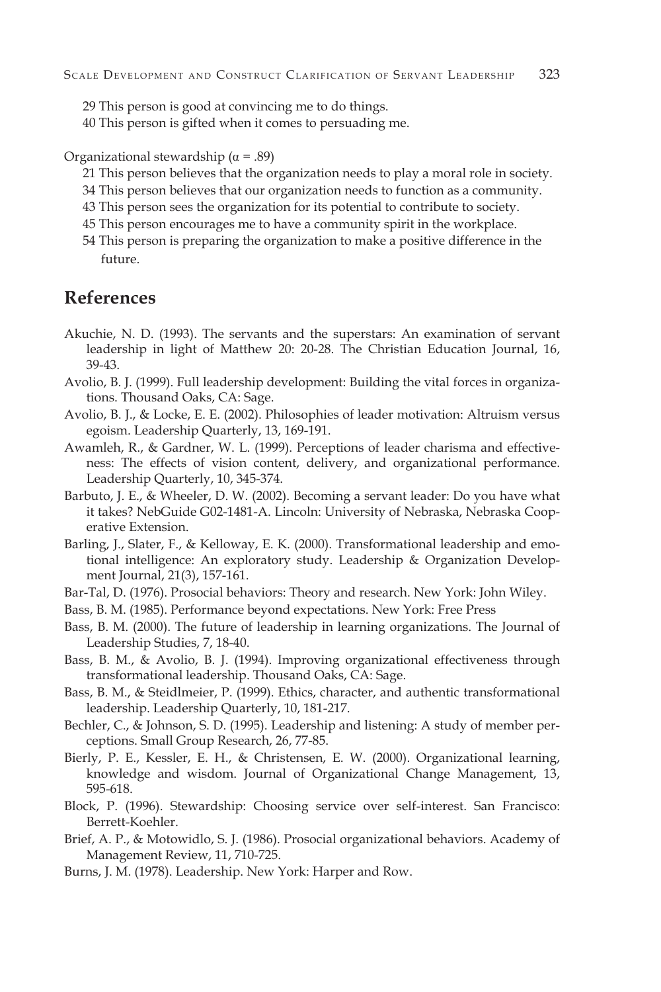- 29 This person is good at convincing me to do things.
- 40 This person is gifted when it comes to persuading me.

Organizational stewardship ( $\alpha$  = .89)

- 21 This person believes that the organization needs to play a moral role in society.
- 34 This person believes that our organization needs to function as a community.
- 43 This person sees the organization for its potential to contribute to society.
- 45 This person encourages me to have a community spirit in the workplace.
- 54 This person is preparing the organization to make a positive difference in the future.

### **References**

- Akuchie, N. D. (1993). The servants and the superstars: An examination of servant leadership in light of Matthew 20: 20-28. The Christian Education Journal, 16, 39-43.
- Avolio, B. J. (1999). Full leadership development: Building the vital forces in organizations. Thousand Oaks, CA: Sage.
- Avolio, B. J., & Locke, E. E. (2002). Philosophies of leader motivation: Altruism versus egoism. Leadership Quarterly, 13, 169-191.
- Awamleh, R., & Gardner, W. L. (1999). Perceptions of leader charisma and effectiveness: The effects of vision content, delivery, and organizational performance. Leadership Quarterly, 10, 345-374.
- Barbuto, J. E., & Wheeler, D. W. (2002). Becoming a servant leader: Do you have what it takes? NebGuide G02-1481-A. Lincoln: University of Nebraska, Nebraska Cooperative Extension.
- Barling, J., Slater, F., & Kelloway, E. K. (2000). Transformational leadership and emotional intelligence: An exploratory study. Leadership & Organization Development Journal, 21(3), 157-161.
- Bar-Tal, D. (1976). Prosocial behaviors: Theory and research. New York: John Wiley.
- Bass, B. M. (1985). Performance beyond expectations. New York: Free Press
- Bass, B. M. (2000). The future of leadership in learning organizations. The Journal of Leadership Studies, 7, 18-40.
- Bass, B. M., & Avolio, B. J. (1994). Improving organizational effectiveness through transformational leadership. Thousand Oaks, CA: Sage.
- Bass, B. M., & Steidlmeier, P. (1999). Ethics, character, and authentic transformational leadership. Leadership Quarterly, 10, 181-217.
- Bechler, C., & Johnson, S. D. (1995). Leadership and listening: A study of member perceptions. Small Group Research, 26, 77-85.
- Bierly, P. E., Kessler, E. H., & Christensen, E. W. (2000). Organizational learning, knowledge and wisdom. Journal of Organizational Change Management, 13, 595-618.
- Block, P. (1996). Stewardship: Choosing service over self-interest. San Francisco: Berrett-Koehler.
- Brief, A. P., & Motowidlo, S. J. (1986). Prosocial organizational behaviors. Academy of Management Review, 11, 710-725.
- Burns, J. M. (1978). Leadership. New York: Harper and Row.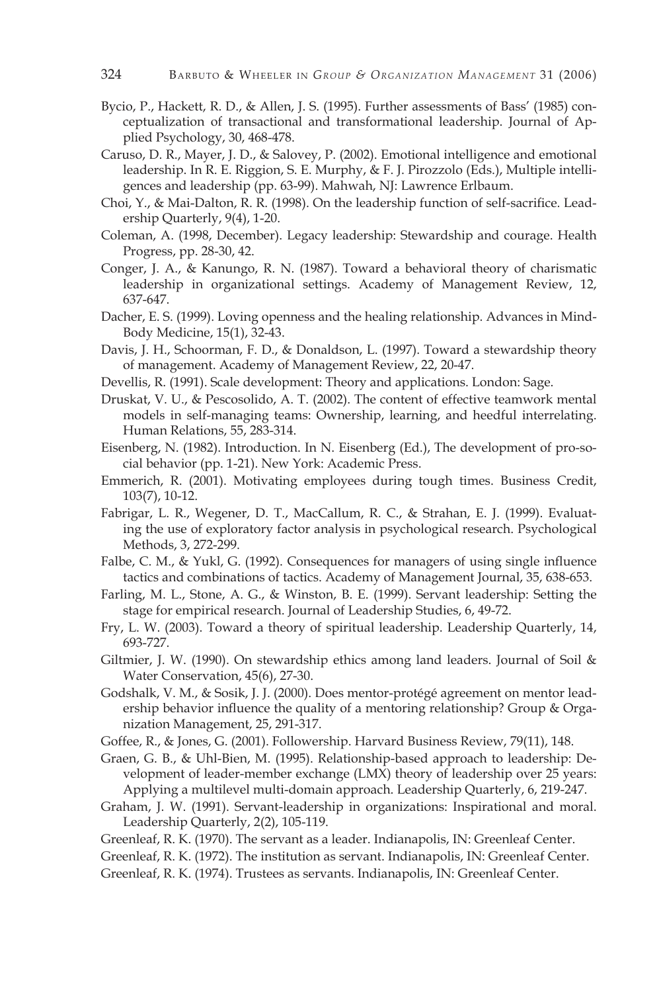- Bycio, P., Hackett, R. D., & Allen, J. S. (1995). Further assessments of Bass' (1985) conceptualization of transactional and transformational leadership. Journal of Applied Psychology, 30, 468-478.
- Caruso, D. R., Mayer, J. D., & Salovey, P. (2002). Emotional intelligence and emotional leadership. In R. E. Riggion, S. E. Murphy, & F. J. Pirozzolo (Eds.), Multiple intelligences and leadership (pp. 63-99). Mahwah, NJ: Lawrence Erlbaum.
- Choi, Y., & Mai-Dalton, R. R. (1998). On the leadership function of self-sacrifice. Leadership Quarterly, 9(4), 1-20.
- Coleman, A. (1998, December). Legacy leadership: Stewardship and courage. Health Progress, pp. 28-30, 42.
- Conger, J. A., & Kanungo, R. N. (1987). Toward a behavioral theory of charismatic leadership in organizational settings. Academy of Management Review, 12, 637-647.
- Dacher, E. S. (1999). Loving openness and the healing relationship. Advances in Mind-Body Medicine, 15(1), 32-43.
- Davis, J. H., Schoorman, F. D., & Donaldson, L. (1997). Toward a stewardship theory of management. Academy of Management Review, 22, 20-47.
- Devellis, R. (1991). Scale development: Theory and applications. London: Sage.
- Druskat, V. U., & Pescosolido, A. T. (2002). The content of effective teamwork mental models in self-managing teams: Ownership, learning, and heedful interrelating. Human Relations, 55, 283-314.
- Eisenberg, N. (1982). Introduction. In N. Eisenberg (Ed.), The development of pro-social behavior (pp. 1-21). New York: Academic Press.
- Emmerich, R. (2001). Motivating employees during tough times. Business Credit, 103(7), 10-12.
- Fabrigar, L. R., Wegener, D. T., MacCallum, R. C., & Strahan, E. J. (1999). Evaluating the use of exploratory factor analysis in psychological research. Psychological Methods, 3, 272-299.
- Falbe, C. M., & Yukl, G. (1992). Consequences for managers of using single influence tactics and combinations of tactics. Academy of Management Journal, 35, 638-653.
- Farling, M. L., Stone, A. G., & Winston, B. E. (1999). Servant leadership: Setting the stage for empirical research. Journal of Leadership Studies, 6, 49-72.
- Fry, L. W. (2003). Toward a theory of spiritual leadership. Leadership Quarterly, 14, 693-727.
- Giltmier, J. W. (1990). On stewardship ethics among land leaders. Journal of Soil & Water Conservation, 45(6), 27-30.
- Godshalk, V. M., & Sosik, J. J. (2000). Does mentor-protégé agreement on mentor leadership behavior influence the quality of a mentoring relationship? Group & Organization Management, 25, 291-317.
- Goffee, R., & Jones, G. (2001). Followership. Harvard Business Review, 79(11), 148.
- Graen, G. B., & Uhl-Bien, M. (1995). Relationship-based approach to leadership: Development of leader-member exchange (LMX) theory of leadership over 25 years: Applying a multilevel multi-domain approach. Leadership Quarterly, 6, 219-247.
- Graham, J. W. (1991). Servant-leadership in organizations: Inspirational and moral. Leadership Quarterly, 2(2), 105-119.
- Greenleaf, R. K. (1970). The servant as a leader. Indianapolis, IN: Greenleaf Center.
- Greenleaf, R. K. (1972). The institution as servant. Indianapolis, IN: Greenleaf Center.
- Greenleaf, R. K. (1974). Trustees as servants. Indianapolis, IN: Greenleaf Center.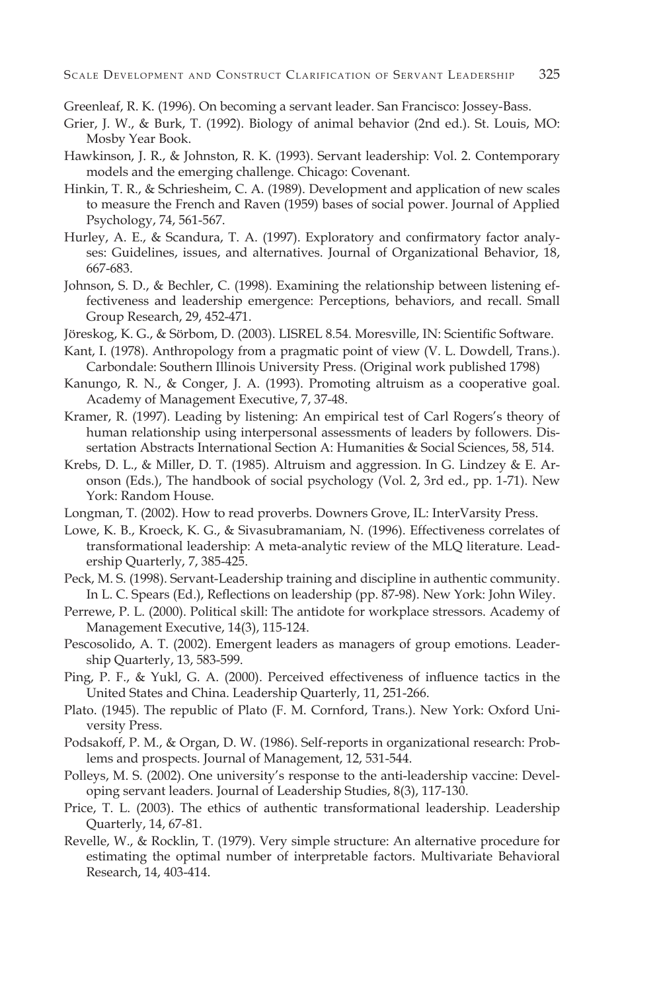Greenleaf, R. K. (1996). On becoming a servant leader. San Francisco: Jossey-Bass.

- Grier, J. W., & Burk, T. (1992). Biology of animal behavior (2nd ed.). St. Louis, MO: Mosby Year Book.
- Hawkinson, J. R., & Johnston, R. K. (1993). Servant leadership: Vol. 2. Contemporary models and the emerging challenge. Chicago: Covenant.
- Hinkin, T. R., & Schriesheim, C. A. (1989). Development and application of new scales to measure the French and Raven (1959) bases of social power. Journal of Applied Psychology, 74, 561-567.
- Hurley, A. E., & Scandura, T. A. (1997). Exploratory and confirmatory factor analyses: Guidelines, issues, and alternatives. Journal of Organizational Behavior, 18, 667-683.
- Johnson, S. D., & Bechler, C. (1998). Examining the relationship between listening effectiveness and leadership emergence: Perceptions, behaviors, and recall. Small Group Research, 29, 452-471.
- Jöreskog, K. G., & Sörbom, D. (2003). LISREL 8.54. Moresville, IN: Scientific Software.
- Kant, I. (1978). Anthropology from a pragmatic point of view (V. L. Dowdell, Trans.). Carbondale: Southern Illinois University Press. (Original work published 1798)
- Kanungo, R. N., & Conger, J. A. (1993). Promoting altruism as a cooperative goal. Academy of Management Executive, 7, 37-48.
- Kramer, R. (1997). Leading by listening: An empirical test of Carl Rogers's theory of human relationship using interpersonal assessments of leaders by followers. Dissertation Abstracts International Section A: Humanities & Social Sciences, 58, 514.
- Krebs, D. L., & Miller, D. T. (1985). Altruism and aggression. In G. Lindzey & E. Aronson (Eds.), The handbook of social psychology (Vol. 2, 3rd ed., pp. 1-71). New York: Random House.
- Longman, T. (2002). How to read proverbs. Downers Grove, IL: InterVarsity Press.
- Lowe, K. B., Kroeck, K. G., & Sivasubramaniam, N. (1996). Effectiveness correlates of transformational leadership: A meta-analytic review of the MLQ literature. Leadership Quarterly, 7, 385-425.
- Peck, M. S. (1998). Servant-Leadership training and discipline in authentic community. In L. C. Spears (Ed.), Reflections on leadership (pp. 87-98). New York: John Wiley.
- Perrewe, P. L. (2000). Political skill: The antidote for workplace stressors. Academy of Management Executive, 14(3), 115-124.
- Pescosolido, A. T. (2002). Emergent leaders as managers of group emotions. Leadership Quarterly, 13, 583-599.
- Ping, P. F., & Yukl, G. A. (2000). Perceived effectiveness of influence tactics in the United States and China. Leadership Quarterly, 11, 251-266.
- Plato. (1945). The republic of Plato (F. M. Cornford, Trans.). New York: Oxford University Press.
- Podsakoff, P. M., & Organ, D. W. (1986). Self-reports in organizational research: Problems and prospects. Journal of Management, 12, 531-544.
- Polleys, M. S. (2002). One university's response to the anti-leadership vaccine: Developing servant leaders. Journal of Leadership Studies, 8(3), 117-130.
- Price, T. L. (2003). The ethics of authentic transformational leadership. Leadership Quarterly, 14, 67-81.
- Revelle, W., & Rocklin, T. (1979). Very simple structure: An alternative procedure for estimating the optimal number of interpretable factors. Multivariate Behavioral Research, 14, 403-414.